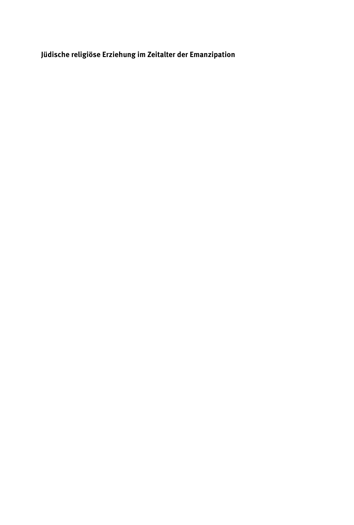**Jüdische religiöse Erziehung im Zeitalter der Emanzipation**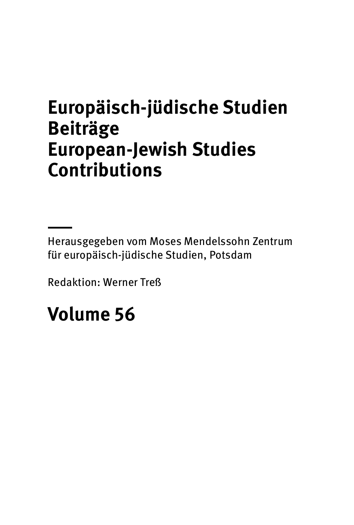## **Europäisch-jüdische Studien Beiträge European-Jewish Studies Contributions**

Herausgegeben vom Moses Mendelssohn Zentrum für europäisch-jüdische Studien, Potsdam

Redaktion: Werner Treß

# **Volume 56**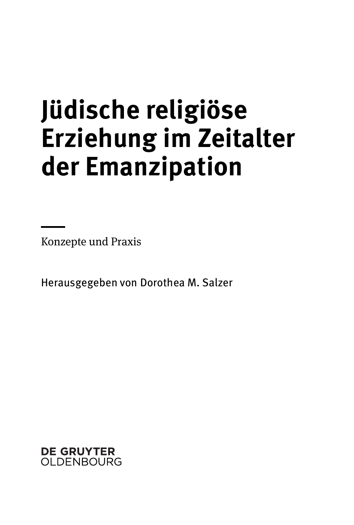# **Jüdische religiöse Erziehung im Zeitalter der Emanzipation**

Konzepte und Praxis

Herausgegeben von Dorothea M. Salzer

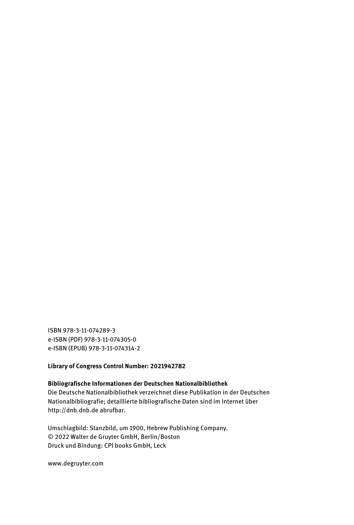ISBN 978-3-11-074289-3 e-ISBN (PDF) 978-3-11-074305-0 e-ISBN (EPUB) 978-3-11-074314-2

#### **Library of Congress Control Number: 2021942782**

**Bibliografische Informationen der Deutschen Nationalbibliothek** Die Deutsche Nationalbibliothek verzeichnet diese Publikation in der Deutschen Nationalbibliografie; detaillierte bibliografische Daten sind im Internet über http://dnb.dnb.de abrufbar.

Umschlagbild: Stanzbild, um 1900, Hebrew Publishing Company. © 2022 Walter de Gruyter GmbH, Berlin/Boston Druck und Bindung: CPI books GmbH, Leck

www.degruyter.com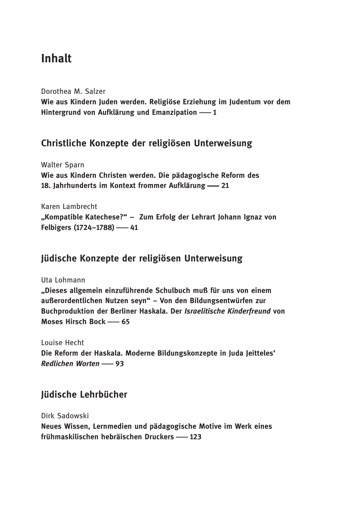## Inhalt

Dorothea M. Salzer Wie aus Kindern Juden werden. Religiöse Erziehung im Judentum vor dem Hintergrund von Aufklärung und Emanzipation – 1

#### Christliche Konzepte der religiösen Unterweisung

Walter Sparn Wie aus Kindern Christen werden. Die pädagogische Reform des 18. Jahrhunderts im Kontext frommer Aufklärung -21

Karen Lambrecht "Kompatible Katechese?" – Zum Erfolg der Lehrart Johann Ignaz von Felbigers (1724-1788) - 41

#### Jüdische Konzepte der religiösen Unterweisung

Uta Lohmann "Dieses allgemein einzuführende Schulbuch muß für uns von einem außerordentlichen Nutzen seyn" – Von den Bildungsentwürfen zur Buchproduktion der Berliner Haskala. Der Israelitische Kinderfreund von Moses Hirsch Bock -65

Louise Hecht Die Reform der Haskala. Moderne Bildungskonzepte in Juda Jeitteles' Redlichen Worten - 93

#### Jüdische Lehrbücher

Dirk Sadowski Neues Wissen, Lernmedien und pädagogische Motive im Werk eines frühmaskilischen hebräischen Druckers - 123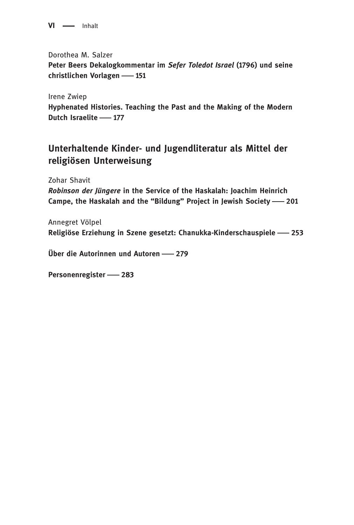$VI \longrightarrow Inhalt$ 

Dorothea M. Salzer Peter Beers Dekalogkommentar im Sefer Toledot Israel (1796) und seine christlichen Vorlagen - 151

Irene Zwiep Hyphenated Histories. Teaching the Past and the Making of the Modern Dutch Israelite -177

#### Unterhaltende Kinder- und Jugendliteratur als Mittel der religiösen Unterweisung

Zohar Shavit

Robinson der Jüngere in the Service of the Haskalah: Joachim Heinrich Campe, the Haskalah and the "Bildung" Project in Jewish Society -201

Annegret Völpel Religiöse Erziehung in Szene gesetzt: Chanukka-Kinderschauspiele 253

Über die Autorinnen und Autoren 279

Personenregister - 283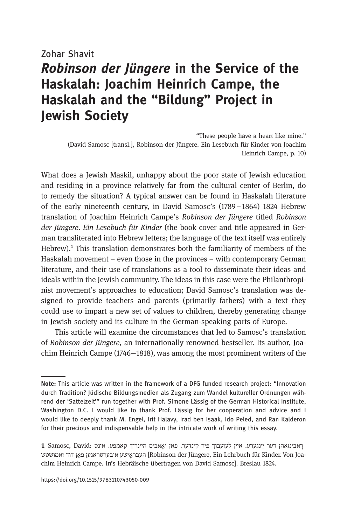#### Zohar Shavit

## Robinson der Jüngere in the Service of the Haskalah: Joachim Heinrich Campe, the Haskalah and the "Bildung" Project in Jewish Society

"These people have a heart like mine." (David Samosc [transl.], Robinson der Jüngere. Ein Lesebuch für Kinder von Joachim Heinrich Campe, p. 10)

What does a Jewish Maskil, unhappy about the poor state of Jewish education and residing in a province relatively far from the cultural center of Berlin, do to remedy the situation? A typical answer can be found in Haskalah literature of the early nineteenth century, in David Samosc's (1789–1864) 1824 Hebrew translation of Joachim Heinrich Campe's Robinson der Jüngere titled Robinson der Jüngere. Ein Lesebuch für Kinder (the book cover and title appeared in German transliterated into Hebrew letters; the language of the text itself was entirely Hebrew).<sup>1</sup> This translation demonstrates both the familiarity of members of the Haskalah movement – even those in the provinces – with contemporary German literature, and their use of translations as a tool to disseminate their ideas and ideals within the Jewish community. The ideas in this case were the Philanthropinist movement's approaches to education; David Samosc's translation was designed to provide teachers and parents (primarily fathers) with a text they could use to impart a new set of values to children, thereby generating change in Jewish society and its culture in the German-speaking parts of Europe.

This article will examine the circumstances that led to Samosc's translation of Robinson der Jüngere, an internationally renowned bestseller. Its author, Joachim Heinrich Campe (1746−1818), was among the most prominent writers of the

Note: This article was written in the framework of a DFG funded research project: "Innovation durch Tradition? Jüdische Bildungsmedien als Zugang zum Wandel kultureller Ordnungen während der 'Sattelzeit'" run together with Prof. Simone Lässig of the German Historical Institute, Washington D.C. I would like to thank Prof. Lässig for her cooperation and advice and I would like to deeply thank M. Engel, Irit Halavy, Irad ben Isaak, Ido Peled, and Ran Kalderon for their precious and indispensable help in the intricate work of writing this essay.

ן בא נינואהן דער יינגערע. איין לעזעבוד פיר קינדער. פאן יאאכים היינריך קאמפע. אינס 20x1 וואבינזאה שט שו מא זד וד ָן אפ ןע גא רט רע בי אע שי אֶ רב עה] Robinson der Jüngere, Ein Lehrbuch für Kinder. Von Joachim Heinrich Campe. In's Hebräische übertragen von David Samosc]. Breslau 1824.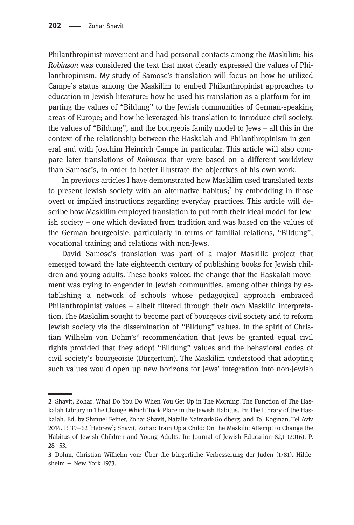Philanthropinist movement and had personal contacts among the Maskilim; his Robinson was considered the text that most clearly expressed the values of Philanthropinism. My study of Samosc's translation will focus on how he utilized Campe's status among the Maskilim to embed Philanthropinist approaches to education in Jewish literature; how he used his translation as a platform for imparting the values of "Bildung" to the Jewish communities of German-speaking areas of Europe; and how he leveraged his translation to introduce civil society, the values of "Bildung", and the bourgeois family model to Jews – all this in the context of the relationship between the Haskalah and Philanthropinism in general and with Joachim Heinrich Campe in particular. This article will also compare later translations of Robinson that were based on a different worldview than Samosc's, in order to better illustrate the objectives of his own work.

In previous articles I have demonstrated how Maskilim used translated texts to present Jewish society with an alternative habitus;<sup>2</sup> by embedding in those overt or implied instructions regarding everyday practices. This article will describe how Maskilim employed translation to put forth their ideal model for Jewish society – one which deviated from tradition and was based on the values of the German bourgeoisie, particularly in terms of familial relations, "Bildung", vocational training and relations with non-Jews.

David Samosc's translation was part of a major Maskilic project that emerged toward the late eighteenth century of publishing books for Jewish children and young adults. These books voiced the change that the Haskalah movement was trying to engender in Jewish communities, among other things by establishing a network of schools whose pedagogical approach embraced Philanthropinist values – albeit filtered through their own Maskilic interpretation. The Maskilim sought to become part of bourgeois civil society and to reform Jewish society via the dissemination of "Bildung" values, in the spirit of Christian Wilhelm von Dohm's<sup>3</sup> recommendation that Jews be granted equal civil rights provided that they adopt "Bildung" values and the behavioral codes of civil society's bourgeoisie (Bürgertum). The Maskilim understood that adopting such values would open up new horizons for Jews' integration into non-Jewish

<sup>2</sup> Shavit, Zohar: What Do You Do When You Get Up in The Morning: The Function of The Haskalah Library in The Change Which Took Place in the Jewish Habitus. In: The Library of the Haskalah. Ed. by Shmuel Feiner, Zohar Shavit, Natalie Naimark-Goldberg, and Tal Kogman. Tel Aviv 2014. P. 39−62 [Hebrew]; Shavit, Zohar: Train Up [a Child: On the Maskilic](http://www.tau.ac.il/sites/default/files/media_server/imported/308/files/2016/11/trainup.pdf) Attempt to Change the Habitus of [Jewish Children and](http://www.tau.ac.il/sites/default/files/media_server/imported/308/files/2016/11/trainup.pdf) Young Adults. In: Journal of Jewish Education 82,1 (2016). P. 28−53.

Dohm, Christian Wilhelm von: Über die bürgerliche Verbesserung der Juden (1781). Hildesheim − New York 1973.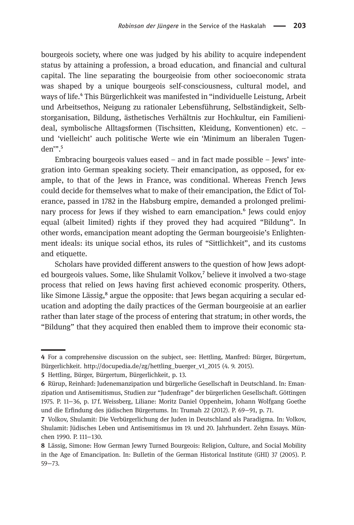bourgeois society, where one was judged by his ability to acquire independent status by attaining a profession, a broad education, and financial and cultural capital. The line separating the bourgeoisie from other socioeconomic strata was shaped by a unique bourgeois self-consciousness, cultural model, and ways of life.⁴ This Bürgerlichkeit was manifested in "individuelle Leistung, Arbeit und Arbeitsethos, Neigung zu rationaler Lebensführung, Selbständigkeit, Selbstorganisation, Bildung, ästhetisches Verhältnis zur Hochkultur, ein Familienideal, symbolische Alltagsformen (Tischsitten, Kleidung, Konventionen) etc. – und 'vielleicht' auch politische Werte wie ein 'Minimum an liberalen Tugenden".<sup>5</sup>

Embracing bourgeois values eased – and in fact made possible – Jews' integration into German speaking society. Their emancipation, as opposed, for example, to that of the Jews in France, was conditional. Whereas French Jews could decide for themselves what to make of their emancipation, the Edict of Tolerance, passed in 1782 in the Habsburg empire, demanded a prolonged preliminary process for Jews if they wished to earn emancipation.<sup>6</sup> Jews could enjoy equal (albeit limited) rights if they proved they had acquired "Bildung". In other words, emancipation meant adopting the German bourgeoisie's Enlightenment ideals: its unique social ethos, its rules of "Sittlichkeit", and its customs and etiquette.

Scholars have provided different answers to the question of how Jews adopted bourgeois values. Some, like Shulamit Volkov, $\bar{y}$  believe it involved a two-stage process that relied on Jews having first achieved economic prosperity. Others, like Simone Lässig,<sup>8</sup> argue the opposite: that Jews began acquiring a secular education and adopting the daily practices of the German bourgeoisie at an earlier rather than later stage of the process of entering that stratum; in other words, the "Bildung" that they acquired then enabled them to improve their economic sta-

For a comprehensive discussion on the subject, see: Hettling, Manfred: Bürger, Bürgertum, Bürgerlichkeit. http://docupedia.de/zg/hettling\_buerger\_v1\_2015 (4. 9. 2015).

Hettling, Bürger, Bürgertum, Bürgerlichkeit, p. 13.

<sup>6</sup> Rürup, Reinhard: Judenemanzipation und bürgerliche Gesellschaft in Deutschland. In: Emanzipation und Antisemitismus, Studien zur "Judenfrage" der bürgerlichen Gesellschaft. Göttingen 1975. P. 11−36, p. 17 f. Weissberg, Liliane: Moritz Daniel Oppenheim, Johann Wolfgang Goethe und die Erfindung des jüdischen Bürgertums. In: Trumah 22 (2012). P. 69−91, p. 71.

Volkov, Shulamit: Die Verbürgerlichung der Juden in Deutschland als Paradigma. In: Volkov, Shulamit: Jüdisches Leben und Antisemitismus im 19. und 20. Jahrhundert. Zehn Essays. München 1990. P. 111−130.

Lässig, Simone: How German Jewry Turned Bourgeois: Religion, Culture, and Social Mobility in the Age of Emancipation. In: Bulletin of the German Historical Institute (GHI) 37 (2005). P. 59−73.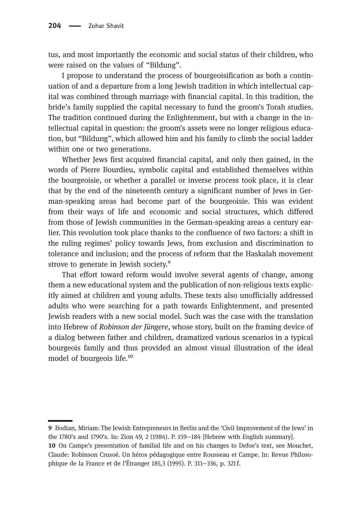tus, and most importantly the economic and social status of their children, who were raised on the values of "Bildung".

I propose to understand the process of bourgeoisification as both a continuation of and a departure from a long Jewish tradition in which intellectual capital was combined through marriage with financial capital. In this tradition, the bride's family supplied the capital necessary to fund the groom's Torah studies. The tradition continued during the Enlightenment, but with a change in the intellectual capital in question: the groom's assets were no longer religious education, but "Bildung", which allowed him and his family to climb the social ladder within one or two generations.

Whether Jews first acquired financial capital, and only then gained, in the words of Pierre Bourdieu, symbolic capital and established themselves within the bourgeoisie, or whether a parallel or inverse process took place, it is clear that by the end of the nineteenth century a significant number of Jews in German-speaking areas had become part of the bourgeoisie. This was evident from their ways of life and economic and social structures, which differed from those of Jewish communities in the German-speaking areas a century earlier. This revolution took place thanks to the confluence of two factors: a shift in the ruling regimes' policy towards Jews, from exclusion and discrimination to tolerance and inclusion; and the process of reform that the Haskalah movement strove to generate in Jewish society.<sup>9</sup>

That effort toward reform would involve several agents of change, among them a new educational system and the publication of non-religious texts explicitly aimed at children and young adults. These texts also unofficially addressed adults who were searching for a path towards Enlightenment, and presented Jewish readers with a new social model. Such was the case with the translation into Hebrew of Robinson der Jüngere, whose story, built on the framing device of a dialog between father and children, dramatized various scenarios in a typical bourgeois family and thus provided an almost visual illustration of the ideal model of bourgeois life.<sup>10</sup>

Bodian, Miriam: The Jewish Entrepreneurs in Berlin and the 'Civil Improvement of the Jews' in the 1780's and 1790's. In: Zion 49, 2 (1984). P. 159−184 [Hebrew with English summary].

<sup>10</sup> On Campe's presentation of familial life and on his changes to Defoe's text, see Mouchet, Claude: Robinson Crusoé. Un héros pédagogique entre Rousseau et Campe. In: Revue Philosophique de la France et de l'Étranger 185,3 (1995). P. 311−336, p. 321 f.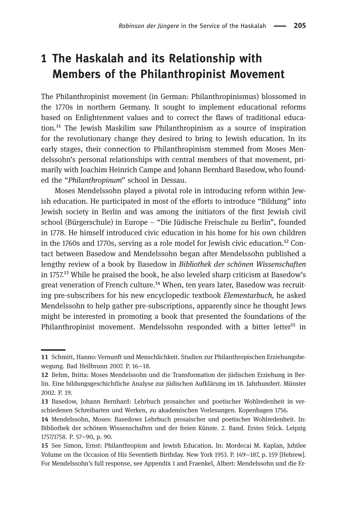## 1 The Haskalah and its Relationship with Members of the Philanthropinist Movement

The Philanthropinist movement (in German: Philanthropinismus) blossomed in the 1770s in northern Germany. It sought to implement educational reforms based on Enlightenment values and to correct the flaws of traditional educa- $\chi$  tion.<sup>11</sup> The Jewish Maskilim saw Philanthropinism as a source of inspiration for the revolutionary change they desired to bring to Jewish education. In its early stages, their connection to Philanthropinism stemmed from Moses Mendelssohn's personal relationships with central members of that movement, primarily with Joachim Heinrich Campe and Johann Bernhard Basedow, who founded the "Philanthropinum" school in Dessau.

Moses Mendelssohn played a pivotal role in introducing reform within Jewish education. He participated in most of the efforts to introduce "Bildung" into Jewish society in Berlin and was among the initiators of the first Jewish civil school (Bürgerschule) in Europe – "Die Jüdische Freischule zu Berlin", founded in 1778. He himself introduced civic education in his home for his own children in the 1760s and 1770s, serving as a role model for Jewish civic education.<sup>12</sup> Contact between Basedow and Mendelssohn began after Mendelssohn published a lengthy review of a book by Basedow in Bibliothek der schönen Wissenschaften in 1757<sup>13</sup> While he praised the book, he also leveled sharp criticism at Basedow's great veneration of French culture.<sup>14</sup> When, ten years later, Basedow was recruiting pre-subscribers for his new encyclopedic textbook Elementarbuch, he asked Mendelssohn to help gather pre-subscriptions, apparently since he thought Jews might be interested in promoting a book that presented the foundations of the Philanthropinist movement. Mendelssohn responded with a bitter letter<sup>15</sup> in

Schmitt, Hanno: Vernunft und Menschlichkeit. Studien zur Philanthropischen Erziehungsbewegung. Bad Heilbrunn 2007. P. 16−18.

Behm, Britta: Moses Mendelssohn und die Transformation der jüdischen Erziehung in Berlin. Eine bildungsgeschichtliche Analyse zur jüdischen Aufklärung im 18. Jahrhundert. Münster 2002. P. 19.

<sup>13</sup> Basedow, Johann Bernhard: Lehrbuch prosaischer und poetischer Wohlredenheit in verschiedenen Schreibarten und Werken, zu akademischen Vorlesungen. Kopenhagen 1756.

Mendelssohn, Moses: Basedows Lehrbuch prosaischer und poetischer Wohlredenheit. In: Bibliothek der schönen Wissenschaften und der freien Künste. 2. Band. Erstes Stück. Leipzig 1757/1758. P. 57−90, p. 90.

<sup>15</sup> See Simon, Ernst: Philanthropism and Jewish Education. In: Mordecai M. Kaplan, Jubilee Volume on the Occasion of His Seventieth Birthday. New York 1953. P. 149−187, p. 159 [Hebrew]. For Mendelssohn's full response, see Appendix 1 and Fraenkel, Albert: Mendelssohn und die Er-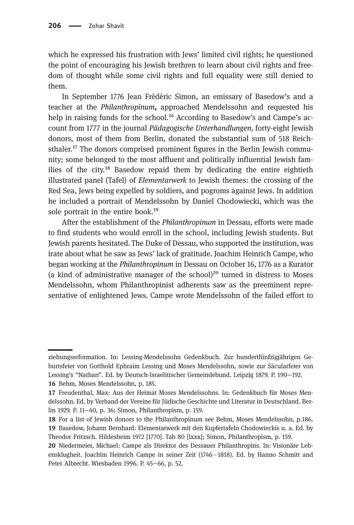which he expressed his frustration with Jews' limited civil rights; he questioned the point of encouraging his Jewish brethren to learn about civil rights and freedom of thought while some civil rights and full equality were still denied to them.

In September 1776 Jean Frédéric Simon, an emissary of Basedow's and a teacher at the Philanthropinum, approached Mendelssohn and requested his help in raising funds for the school.<sup>16</sup> According to Basedow's and Campe's account from 1777 in the journal Pädagogische Unterhandlungen, forty-eight Jewish donors, most of them from Berlin, donated the substantial sum of 518 Reichsthaler.<sup>17</sup> The donors comprised prominent figures in the Berlin Jewish community; some belonged to the most affluent and politically influential Jewish families of the city.<sup>18</sup> Basedow repaid them by dedicating the entire eightieth illustrated panel (Tafel) of Elementarwerk to Jewish themes: the crossing of the Red Sea, Jews being expelled by soldiers, and pogroms against Jews. In addition he included a portrait of Mendelssohn by Daniel Chodowiecki, which was the sole portrait in the entire book.<sup>19</sup>

After the establishment of the Philanthropinum in Dessau, efforts were made to find students who would enroll in the school, including Jewish students. But Jewish parents hesitated. The Duke of Dessau, who supported the institution, was irate about what he saw as Jews' lack of gratitude. Joachim Heinrich Campe, who began working at the Philanthropinum in Dessau on October 16, 1776 as a Kurator (a kind of administrative manager of the school) $^{20}$  turned in distress to Moses Mendelssohn, whom Philanthropinist adherents saw as the preeminent representative of enlightened Jews. Campe wrote Mendelssohn of the failed effort to

ziehungsreformation. In: Lessing-Mendelssohn Gedenkbuch. Zur hundertfünfzigjährigen Geburtsfeier von Gotthold Ephraim Lessing und Moses Mendelssohn, sowie zur Säcularfeier von Lessing's "Nathan". Ed. by Deutsch-Israelitischer Gemeindebund. Leipzig 1879. P. 190−192.

<sup>16</sup> Behm, Moses Mendelssohn, p. 185.

Freudenthal, Max: Aus der Heimat Moses Mendelssohns. In: Gedenkbuch für Moses Mendelssohn. Ed. by Verband der Vereine für Jüdische Geschichte und Literatur in Deutschland. Berlin 1929. P. 11−40, p. 36; Simon, Philanthropism, p. 159.

<sup>18</sup> For a list of Jewish donors to the Philanthropinum see Behm, Moses Mendelssohn, p.186.

<sup>19</sup> Basedow, Johann Bernhard: Elementarwerk mit den Kupfertafeln Chodowieckis u. a. Ed. by Theodor Fritzsch. Hildesheim 1972 [1770]. Tab 80 [lxxx]; Simon, Philanthropism, p. 159.

Niedermeier, Michael: Campe als Direktor des Dessauer Philanthropins. In: Visionäre Lebensklugheit. Joachim Heinrich Campe in seiner Zeit (1746–1818). Ed. by Hanno Schmitt and Peter Albrecht. Wiesbaden 1996. P. 45−66, p. 52.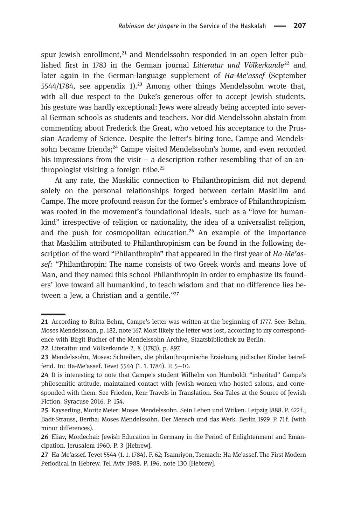spur Jewish enrollment, $^{21}$  and Mendelssohn responded in an open letter published first in 1783 in the German journal Litteratur und Völkerkunde<sup>22</sup> and later again in the German-language supplement of Ha-Me'assef (September 5544/1784, see appendix 1).<sup>23</sup> Among other things Mendelssohn wrote that, with all due respect to the Duke's generous offer to accept Jewish students, his gesture was hardly exceptional: Jews were already being accepted into several German schools as students and teachers. Nor did Mendelssohn abstain from commenting about Frederick the Great, who vetoed his acceptance to the Prussian Academy of Science. Despite the letter's biting tone, Campe and Mendelssohn became friends;<sup>24</sup> Campe visited Mendelssohn's home, and even recorded his impressions from the visit – a description rather resembling that of an anthropologist visiting a foreign tribe.<sup>25</sup>

At any rate, the Maskilic connection to Philanthropinism did not depend solely on the personal relationships forged between certain Maskilim and Campe. The more profound reason for the former's embrace of Philanthropinism was rooted in the movement's foundational ideals, such as a "love for humankind" irrespective of religion or nationality, the idea of a universalist religion, and the push for cosmopolitan education.<sup>26</sup> An example of the importance that Maskilim attributed to Philanthropinism can be found in the following description of the word "Philanthropin" that appeared in the first year of Ha-Me'assef: "Philanthropin: The name consists of two Greek words and means love of Man, and they named this school Philanthropin in order to emphasize its founders' love toward all humankind, to teach wisdom and that no difference lies between a Jew, a Christian and a gentile." $27$ 

<sup>21</sup> According to Britta Behm, Campe's letter was written at the beginning of 1777. See: Behm, Moses Mendelssohn, p. 182, note 167. Most likely the letter was lost, according to my correspondence with Birgit Bucher of the Mendelssohn Archive, Staatsbibliothek zu Berlin.

Literattur und Völkerkunde 2, X (1783), p. 897.

<sup>23</sup> Mendelssohn, Moses: Schreiben, die philanthropinische Erziehung jüdischer Kinder betreffend. In: Ha-Me'assef. Tevet 5544 (1. 1. 1784). P. 5−10.

<sup>24</sup> It is interesting to note that Campe's student Wilhelm von Humboldt "inherited" Campe's philosemitic attitude, maintained contact with Jewish women who hosted salons, and corresponded with them. See Frieden, Ken: Travels in Translation. Sea Tales at the Source of Jewish Fiction. Syracuse 2016. P. 154.

<sup>25</sup> Kayserling, Moritz Meier: Moses Mendelssohn. Sein Leben und Wirken. Leipzig l888. P. 422f.; Badt-Strauss, Bertha: Moses Mendelssohn. Der Mensch und das Werk. Berlin 1929. P. 71f. (with minor differences).

Eliav, Mordechai: Jewish Education in Germany in the Period of Enlightenment and Emancipation. Jerusalem 1960. P. 3 [Hebrew].

<sup>27</sup> Ha-Me'assef. Tevet 5544 (1. 1. 1784). P. 62; Tsamriyon, Tsemach: Ha-Me'assef. The First Modern Periodical in Hebrew. Tel Aviv 1988. P. 196, note 130 [Hebrew].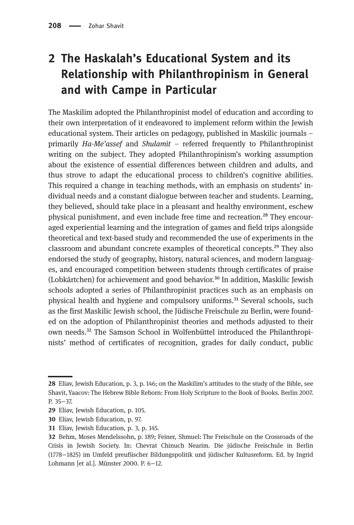## 2 The Haskalah's Educational System and its Relationship with Philanthropinism in General and with Campe in Particular

The Maskilim adopted the Philanthropinist model of education and according to their own interpretation of it endeavored to implement reform within the Jewish educational system. Their articles on pedagogy, published in Maskilic journals – primarily Ha-Me'assef and Shulamit – referred frequently to Philanthropinist writing on the subject. They adopted Philanthropinism's working assumption about the existence of essential differences between children and adults, and thus strove to adapt the educational process to children's cognitive abilities. This required a change in teaching methods, with an emphasis on students' individual needs and a constant dialogue between teacher and students. Learning, they believed, should take place in a pleasant and healthy environment, eschew physical punishment, and even include free time and recreation.<sup>28</sup> They encouraged experiential learning and the integration of games and field trips alongside theoretical and text-based study and recommended the use of experiments in the classroom and abundant concrete examples of theoretical concepts.<sup>29</sup> They also endorsed the study of geography, history, natural sciences, and modern languages, and encouraged competition between students through certificates of praise (Lobkärtchen) for achievement and good behavior.<sup>30</sup> In addition, Maskilic Jewish schools adopted a series of Philanthropinist practices such as an emphasis on physical health and hygiene and compulsory uniforms.<sup>31</sup> Several schools, such as the first Maskilic Jewish school, the Jüdische Freischule zu Berlin, were founded on the adoption of Philanthropinist theories and methods adjusted to their own needs.<sup>32</sup> The Samson School in Wolfenbüttel introduced the Philanthropinists' method of certificates of recognition, grades for daily conduct, public

Eliav, Jewish Education, p. 3, p. 146; on the Maskilim's attitudes to the study of the Bible, see Shavit, Yaacov: The Hebrew Bible Reborn: From Holy Scripture to the Book of Books. Berlin 2007. P. 35−37.

<sup>29</sup> Eliav, Jewish Education, p. 105.

<sup>30</sup> Eliav, Jewish Education, p. 97.

Eliav, Jewish Education, p. 3, p. 145.

Behm, Moses Mendelssohn, p. 189; Feiner, Shmuel: The Freischule on the Crossroads of the Crisis in Jewish Society. In: Chevrat Chinuch Nearim. Die jüdische Freischule in Berlin (1778−1825) im Umfeld preußischer Bildungspolitik und jüdischer Kultusreform. Ed. by Ingrid Lohmann [et al.]. Münster 2000. P. 6−12.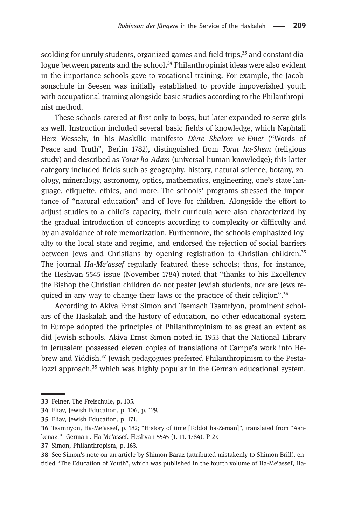scolding for unruly students, organized games and field trips,<sup>33</sup> and constant dialogue between parents and the school.<sup>34</sup> Philanthropinist ideas were also evident in the importance schools gave to vocational training. For example, the Jacobsonschule in Seesen was initially established to provide impoverished youth with occupational training alongside basic studies according to the Philanthropinist method.

These schools catered at first only to boys, but later expanded to serve girls as well. Instruction included several basic fields of knowledge, which Naphtali Herz Wessely, in his Maskilic manifesto Divre Shalom ve-Emet ("Words of Peace and Truth", Berlin 1782), distinguished from Torat ha-Shem (religious study) and described as *Torat ha-Adam* (universal human knowledge); this latter category included fields such as geography, history, natural science, botany, zoology, mineralogy, astronomy, optics, mathematics, engineering, one's state language, etiquette, ethics, and more. The schools' programs stressed the importance of "natural education" and of love for children. Alongside the effort to adjust studies to a child's capacity, their curricula were also characterized by the gradual introduction of concepts according to complexity or difficulty and by an avoidance of rote memorization. Furthermore, the schools emphasized loyalty to the local state and regime, and endorsed the rejection of social barriers between Jews and Christians by opening registration to Christian children.<sup>35</sup> The journal Ha-Me'assef regularly featured these schools; thus, for instance, the Heshvan 5545 issue (November 1784) noted that "thanks to his Excellency the Bishop the Christian children do not pester Jewish students, nor are Jews required in any way to change their laws or the practice of their religion".<sup>36</sup>

According to Akiva Ernst Simon and Tsemach Tsamriyon, prominent scholars of the Haskalah and the history of education, no other educational system in Europe adopted the principles of Philanthropinism to as great an extent as did Jewish schools. Akiva Ernst Simon noted in 1953 that the National Library in Jerusalem possessed eleven copies of translations of Campe's work into Hebrew and Yiddish.<sup>37</sup> Jewish pedagogues preferred Philanthropinism to the Pestalozzi approach,<sup>38</sup> which was highly popular in the German educational system.

37 Simon, Philanthropism, p. 163.

 See Simon's note on an article by Shimon Baraz (attributed mistakenly to Shimon Brill), entitled "The Education of Youth", which was published in the fourth volume of Ha-Me'assef, Ha-

<sup>33</sup> Feiner, The Freischule, p. 105.

Eliav, Jewish Education, p. 106, p. 129.

<sup>35</sup> Eliav, Jewish Education, p. 171.

Tsamriyon, Ha-Me'assef, p. 182; "History of time [Toldot ha-Zeman]", translated from "Ashkenazi" [German]. Ha-Me'assef. Heshvan 5545 (1. 11. 1784). P 27.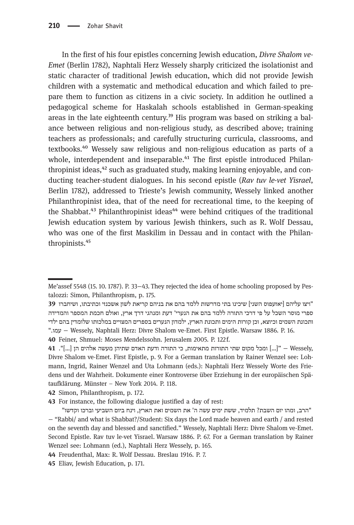In the first of his four epistles concerning Jewish education, Divre Shalom ve-Emet (Berlin 1782), Naphtali Herz Wessely sharply criticized the isolationist and static character of traditional Jewish education, which did not provide Jewish children with a systematic and methodical education and which failed to prepare them to function as citizens in a civic society. In addition he outlined a pedagogical scheme for Haskalah schools established in German-speaking areas in the late eighteenth century.<sup>39</sup> His program was based on striking a balance between religious and non-religious study, as described above; training teachers as professionals; and carefully structuring curricula, classrooms, and textbooks.<sup>40</sup> Wessely saw religious and non-religious education as parts of a whole, interdependent and inseparable.<sup>41</sup> The first epistle introduced Philanthropinist ideas, $^{42}$  such as graduated study, making learning enjoyable, and conducting teacher-student dialogues. In his second epistle (Rav tuv le-vet Yisrael, Berlin 1782), addressed to Trieste's Jewish community, Wessely linked another Philanthropinist idea, that of the need for recreational time, to the keeping of the Shabbat.<sup>43</sup> Philanthropinist ideas<sup>44</sup> were behind critiques of the traditional Jewish education system by various Jewish thinkers, such as R. Wolf Dessau, who was one of the first Maskilim in Dessau and in contact with the Philanthropinists.<sup>45</sup>

Me'assef 5548 (15. 10. 1787). P. 33−43. They rejected the idea of home schooling proposed by Pestalozzi: Simon, Philanthropism, p. 175.

<sup>&</sup>quot; ויצו עליהם [יאזעפוס השני] שיכינו בתי מדרשות ללמד בהם את בניהם קריאת לשון אשכנזי וכתיבתו, ושיחברו ספרי מוסר השכל על פי דרכי התורה ללמד בהם את הנערי' דעת ומנהגי דרך ארץ, ואולם חכמת המספר והמדידה ותכונת השמים וכיוצא, וכן קורות הימים ותכונת הארץ, ילמדון הנערים בספרים המצויים במלכותו שלומדין בהם ילדי ." ומע − Wessely, Naphtali Herz: Divre Shalom ve-Emet. First Epistle. Warsaw 1886. P. 16.

<sup>40</sup> Feiner, Shmuel: Moses Mendelssohn. Jerusalem 2005. P. 122f.

<sup>41 ...]</sup> ומכל מקום שתי התורות מתאימות, כי התורה ודעת האדם שתיהן מעשה אלהים הן  $\ldots$ ו". 41 Divre Shalom ve-Emet. First Epistle, p. 9. For a German translation by Rainer Wenzel see: Lohmann, Ingrid, Rainer Wenzel and Uta Lohmann (eds.): Naphtali Herz Wessely Worte des Friedens und der Wahrheit. Dokumente einer Kontroverse über Erziehung in der europäischen Spätaufklärung. Münster – New York 2014. P. 118.

<sup>42</sup> Simon, Philanthropism, p. 172.

<sup>43</sup> For instance, the following dialogue justified a day of rest:

<sup>&</sup>quot; הרב, ומהו יום השבת? תלמיד, ששת ימים עשה ה' את השמים ואת הארץ, וינח ביום השביעי וברכו וקדשו − "Rabbi/ and what is Shabbat?/Student: Six days the Lord made heaven and earth / and rested on the seventh day and blessed and sanctified." Wessely, Naphtali Herz: Divre Shalom ve-Emet. Second Epistle. Rav tuv le-vet Yisrael. Warsaw 1886. P. 67. For a German translation by Rainer Wenzel see: Lohmann (ed.), Naphtali Herz Wessely, p. 165.

Freudenthal, Max: R. Wolf Dessau. Breslau 1916. P. 7.

Eliav, Jewish Education, p. 171.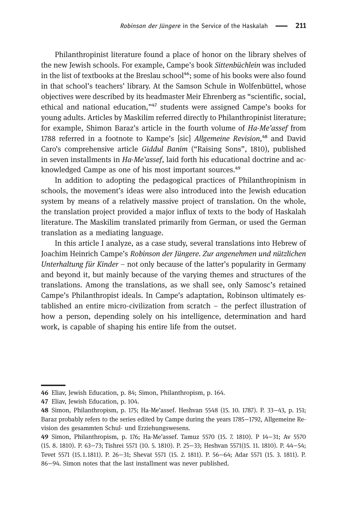Philanthropinist literature found a place of honor on the library shelves of the new Jewish schools. For example, Campe's book Sittenbüchlein was included in the list of textbooks at the Breslau school<sup>46</sup>; some of his books were also found in that school's teachers' library. At the Samson Schule in Wolfenbüttel, whose objectives were described by its headmaster Meir Ehrenberg as "scientific, social, ethical and national education,"<sup>47</sup> students were assigned Campe's books for young adults. Articles by Maskilim referred directly to Philanthropinist literature; for example, Shimon Baraz's article in the fourth volume of Ha-Me'assef from 1788 referred in a footnote to Kampe's [sic] Allgemeine Revision,<sup>48</sup> and David Caro's comprehensive article Giddul Banim ("Raising Sons", 1810), published in seven installments in Ha-Me'assef, laid forth his educational doctrine and acknowledged Campe as one of his most important sources.<sup>49</sup>

In addition to adopting the pedagogical practices of Philanthropinism in schools, the movement's ideas were also introduced into the Jewish education system by means of a relatively massive project of translation. On the whole, the translation project provided a major influx of texts to the body of Haskalah literature. The Maskilim translated primarily from German, or used the German translation as a mediating language.

In this article I analyze, as a case study, several translations into Hebrew of Joachim Heinrich Campe's Robinson der Jüngere. Zur angenehmen und nützlichen Unterhaltung für Kinder – not only because of the latter's popularity in Germany and beyond it, but mainly because of the varying themes and structures of the translations. Among the translations, as we shall see, only Samosc's retained Campe's Philanthropist ideals. In Campe's adaptation, Robinson ultimately established an entire micro-civilization from scratch – the perfect illustration of how a person, depending solely on his intelligence, determination and hard work, is capable of shaping his entire life from the outset.

Eliav, Jewish Education, p. 84; Simon, Philanthropism, p. 164.

Eliav, Jewish Education, p. 104.

Simon, Philanthropism, p. 175; Ha-Me'assef. Heshvan 5548 (15. 10. 1787). P. 33−43, p. 151; Baraz probably refers to the series edited by Campe during the years 1785−1792, Allgemeine Revision des gesammten Schul- und Erziehungswesens.

Simon, Philanthropism, p. 176; Ha-Me'assef. Tamuz 5570 (15. 7. 1810). P 14−31; Av 5570 (15. 8. 1810). P. 63−73; Tishrei 5571 (10. 5. 1810). P. 25−33; Heshvan 5571(15. 11. 1810). P. 44−54; Tevet 5571 (15. 1.1811). P. 26−31; Shevat 5571 (15. 2. 1811). P. 56−64; Adar 5571 (15. 3. 1811). P. 86−94. Simon notes that the last installment was never published.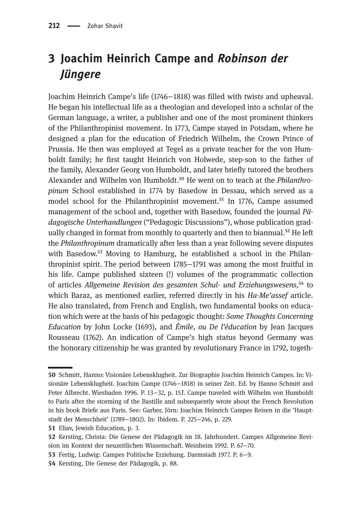## 3 Joachim Heinrich Campe and Robinson der Jüngere

Joachim Heinrich Campe's life (1746−1818) was filled with twists and upheaval. He began his intellectual life as a theologian and developed into a scholar of the German language, a writer, a publisher and one of the most prominent thinkers of the Philanthropinist movement. In 1773, Campe stayed in Potsdam, where he designed a plan for the education of Friedrich Wilhelm, the Crown Prince of Prussia. He then was employed at Tegel as a private teacher for the von Humboldt family; he first taught Heinrich von Holwede, step-son to the father of the family, Alexander Georg von Humboldt, and later briefly tutored the brothers Alexander and Wilhelm von Humboldt.<sup>50</sup> He went on to teach at the *Philanthro*pinum School established in 1774 by Basedow in Dessau, which served as a model school for the Philanthropinist movement.<sup>51</sup> In 1776, Campe assumed management of the school and, together with Basedow, founded the journal Pädagogische Unterhandlungen ("Pedagogic Discussions"), whose publication gradually changed in format from monthly to quarterly and then to biannual.<sup>52</sup> He left the Philanthropinum dramatically after less than a year following severe disputes with Basedow.<sup>53</sup> Moving to Hamburg, he established a school in the Philanthropinist spirit. The period between 1785−1791 was among the most fruitful in his life. Campe published sixteen (!) volumes of the programmatic collection of articles Allgemeine Revision des gesamten Schul- und Erziehungswesens,<sup>54</sup> to which Baraz, as mentioned earlier, referred directly in his Ha-Me'assef article. He also translated, from French and English, two fundamental books on education which were at the basis of his pedagogic thought: Some Thoughts Concerning Education by John Locke (1693), and Émile, ou De l'éducation by Jean Jacques Rousseau (1762). An indication of Campe's high status beyond Germany was the honorary citizenship he was granted by revolutionary France in 1792, togeth-

- Fertig, Ludwig: Campes Politische Erziehung. Darmstadt 1977. P. 6−9.
- 54 Kersting, Die Genese der Pädagogik, p. 88.

Schmitt, Hanno: Visionäre Lebensklugheit. Zur Biographie Joachim Heinrich Campes. In: Visionäre Lebensklugheit. Joachim Campe (1746−1818) in seiner Zeit. Ed. by Hanno Schmitt and Peter Albrecht. Wiesbaden 1996. P. 13−32, p. 15 f. Campe traveled with Wilhelm von Humboldt to Paris after the storming of the Bastille and subsequently wrote about the French Revolution in his book Briefe aus Paris. See: Garber, Jörn: Joachim Heinrich Campes Reisen in die 'Hauptstadt der Menschheit' (1789−1802). In: Ibidem. P. 225−246, p. 229.

<sup>51</sup> Eliav, Jewish Education, p. 3.

<sup>52</sup> Kersting, Christa: Die Genese der Pädagogik im 18. Jahrhundert. Campes Allgemeine Revision im Kontext der neuzeitlichen Wissenschaft. Weinheim 1992. P. 67−70.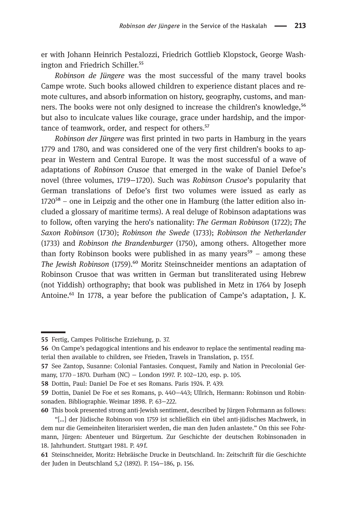er with Johann Heinrich Pestalozzi, Friedrich Gottlieb Klopstock, George Washington and Friedrich Schiller.<sup>55</sup>

Robinson de Jüngere was the most successful of the many travel books Campe wrote. Such books allowed children to experience distant places and remote cultures, and absorb information on history, geography, customs, and manners. The books were not only designed to increase the children's knowledge,<sup>56</sup> but also to inculcate values like courage, grace under hardship, and the importance of teamwork, order, and respect for others.<sup>57</sup>

Robinson der Jüngere was first printed in two parts in Hamburg in the years 1779 and 1780, and was considered one of the very first children's books to appear in Western and Central Europe. It was the most successful of a wave of adaptations of Robinson Crusoe that emerged in the wake of Daniel Defoe's novel (three volumes, 1719−1720). Such was Robinson Crusoe's popularity that German translations of Defoe's first two volumes were issued as early as  $1720^{58}$  – one in Leipzig and the other one in Hamburg (the latter edition also included a glossary of maritime terms). A real deluge of Robinson adaptations was to follow, often varying the hero's nationality: The German Robinson (1722); The Saxon Robinson (1730); Robinson the Swede (1733); Robinson the Netherlander (1733) and Robinson the Brandenburger (1750), among others. Altogether more than forty Robinson books were published in as many years<sup>59</sup> – among these The Jewish Robinson (1759).<sup>60</sup> Moritz Steinschneider mentions an adaptation of Robinson Crusoe that was written in German but transliterated using Hebrew (not Yiddish) orthography; that book was published in Metz in 1764 by Joseph Antoine. $^{61}$  In 1778, a year before the publication of Campe's adaptation, J. K.

This book presented strong anti-Jewish sentiment, described by Jürgen Fohrmann as follows:

Fertig, Campes Politische Erziehung, p. 37.

<sup>56</sup> On Campe's pedagogical intentions and his endeavor to replace the sentimental reading material then available to children, see Frieden, Travels in Translation, p. 155 f.

<sup>57</sup> See Zantop, Susanne: Colonial Fantasies. Conquest, Family and Nation in Precolonial Germany, 1770–1870. Durham (NC) − London 1997. P. 102−120, esp. p. 105.

<sup>58</sup> Dottin, Paul: Daniel De Foe et ses Romans. Paris 1924. P. 439.

<sup>59</sup> Dottin, Daniel De Foe et ses Romans, p. 440−443; Ullrich, Hermann: Robinson und Robinsonaden. Bibliographie. Weimar 1898. P. 63−222.

<sup>&</sup>quot;[…] der Jüdische Robinson von 1759 ist schließlich ein übel anti-jüdisches Machwerk, in dem nur die Gemeinheiten literarisiert werden, die man den Juden anlastete." On this see Fohrmann, Jürgen: Abenteuer und Bürgertum. Zur Geschichte der deutschen Robinsonaden in 18. Jahrhundert. Stuttgart 1981. P. 49 f.

Steinschneider, Moritz: Hebräische Drucke in Deutschland. In: Zeitschrift für die Geschichte der Juden in Deutschland 5,2 (1892). P. 154−186, p. 156.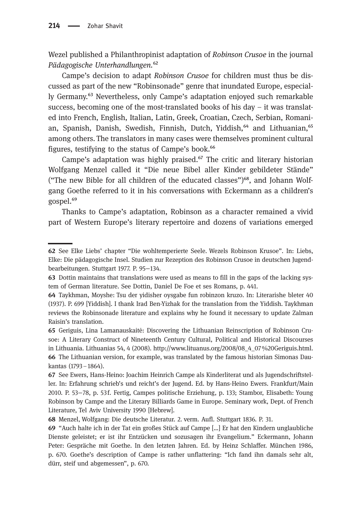Wezel published a Philanthropinist adaptation of Robinson Crusoe in the journal Pädagogische Unterhandlungen.<sup>62</sup>

Campe's decision to adapt Robinson Crusoe for children must thus be discussed as part of the new "Robinsonade" genre that inundated Europe, especially Germany.<sup>63</sup> Nevertheless, only Campe's adaptation enjoyed such remarkable success, becoming one of the most-translated books of his day  $-$  it was translated into French, English, Italian, Latin, Greek, Croatian, Czech, Serbian, Romanian, Spanish, Danish, Swedish, Finnish, Dutch, Yiddish,<sup>64</sup> and Lithuanian,<sup>65</sup> among others. The translators in many cases were themselves prominent cultural figures, testifying to the status of Campe's book.<sup>66</sup>

Campe's adaptation was highly praised. $^{67}$  The critic and literary historian Wolfgang Menzel called it "Die neue Bibel aller Kinder gebildeter Stände" ("The new Bible for all children of the educated classes") $^{68}$ , and Johann Wolfgang Goethe referred to it in his conversations with Eckermann as a children's gospel.<sup>69</sup>

Thanks to Campe's adaptation, Robinson as a character remained a vivid part of Western Europe's literary repertoire and dozens of variations emerged

See Elke Liebs' chapter "Die wohltemperierte Seele. Wezels Robinson Krusoe". In: Liebs, Elke: Die pädagogische Insel. Studien zur Rezeption des Robinson Crusoe in deutschen Jugendbearbeitungen. Stuttgart 1977. P. 95−134.

<sup>63</sup> Dottin maintains that translations were used as means to fill in the gaps of the lacking system of German literature. See Dottin, Daniel De Foe et ses Romans, p. 441.

Taykhman, Moyshe: Tsu der yidisher oysgabe fun robinzon kruzo. In: Literarishe bleter 40 (1937). P. 699 [Yiddish]. I thank Irad Ben-Yizhak for the translation from the Yiddish. Taykhman reviews the Robinsonade literature and explains why he found it necessary to update Zalman Raisin's translation.

Geriguis, Lina Lamanauskaitė: Discovering the Lithuanian Reinscription of Robinson Crusoe: A Literary Construct of Nineteenth Century Cultural, Political and Historical Discourses in Lithuania. Lithuanias 54, 4 (2008). http://www.lituanus.org/2008/08\_4\_07%20Geriguis.html. 66 The Lithuanian version, for example, was translated by the famous historian Simonas Daukantas (1793–1864).

See Ewers, Hans-Heino: Joachim Heinrich Campe als Kinderliterat und als Jugendschriftsteller. In: Erfahrung schrieb's und reicht's der Jugend. Ed. by Hans-Heino Ewers. Frankfurt/Main 2010. P. 53−78, p. 53 f. Fertig, Campes politische Erziehung, p. 133; Stambor, Elisabeth: Young Robinson by Campe and the Literary Billiards Game in Europe. Seminary work, Dept. of French Literature, Tel Aviv University 1990 [Hebrew].

Menzel, Wolfgang: Die deutsche Literatur. 2. verm. Aufl. Stuttgart 1836. P. 31.

"Auch halte ich in der Tat ein großes Stück auf Campe […] Er hat den Kindern unglaubliche Dienste geleistet; er ist ihr Entzücken und sozusagen ihr Evangelium." Eckermann, Johann Peter: Gespräche mit Goethe. In den letzten Jahren. Ed. by Heinz Schlaffer. München 1986, p. 670. Goethe's description of Campe is rather unflattering: "Ich fand ihn damals sehr alt, dürr, steif und abgemessen", p. 670.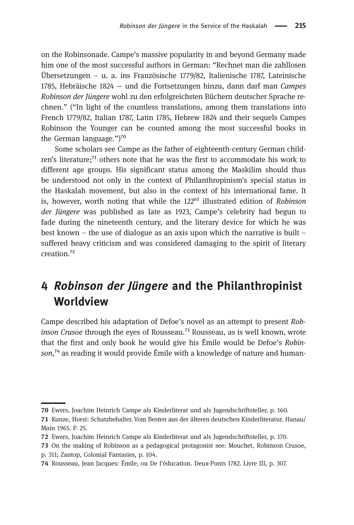on the Robinsonade. Campe's massive popularity in and beyond Germany made him one of the most successful authors in German: "Rechnet man die zahllosen Übersetzungen – u. a. ins Französische 1779/82, Italienische 1787, Lateinische 1785, Hebräische 1824 − und die Fortsetzungen hinzu, dann darf man Campes Robinson der Jüngere wohl zu den erfolgreichsten Büchern deutscher Sprache rechnen." ("In light of the countless translations, among them translations into French 1779/82, Italian 1787, Latin 1785, Hebrew 1824 and their sequels Campes Robinson the Younger can be counted among the most successful books in the German language." $)^{70}$ 

Some scholars see Campe as the father of eighteenth-century German children's literature; $71$  others note that he was the first to accommodate his work to different age groups. His significant status among the Maskilim should thus be understood not only in the context of Philanthropinism's special status in the Haskalah movement, but also in the context of his international fame. It is, however, worth noting that while the  $122<sup>nd</sup>$  illustrated edition of Robinson der Jüngere was published as late as 1923, Campe's celebrity had begun to fade during the nineteenth century, and the literary device for which he was best known – the use of dialogue as an axis upon which the narrative is built – suffered heavy criticism and was considered damaging to the spirit of literary creation.<sup>72</sup>

## 4 Robinson der Jüngere and the Philanthropinist **Worldview**

Campe described his adaptation of Defoe's novel as an attempt to present Robinson Crusoe through the eyes of Rousseau.<sup>73</sup> Rousseau, as is well known, wrote that the first and only book he would give his Émile would be Defoe's Robinson,<sup> $74$ </sup> as reading it would provide Émile with a knowledge of nature and human-

Ewers, Joachim Heinrich Campe als Kinderliterat und als Jugendschriftsteller, p. 160.

<sup>71</sup> Kunze, Horst: Schatzbehalter. Vom Besten aus der älteren deutschen Kinderliteratur. Hanau/ Main 1965. P. 25.

Ewers, Joachim Heinrich Campe als Kinderliterat und als Jugendschriftsteller, p. 170.

On the making of Robinson as a pedagogical protagonist see: Mouchet, Robinson Crusoe, p. 311; Zantop, Colonial Fantasies, p. 104.

Rousseau, Jean Jacques: Émile, ou De l'éducation. Deux-Ponts 1782. Livre III, p. 307.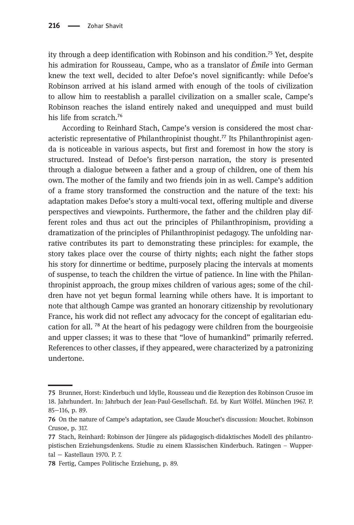ity through a deep identification with Robinson and his condition.<sup>75</sup> Yet, despite his admiration for Rousseau, Campe, who as a translator of Émile into German knew the text well, decided to alter Defoe's novel significantly: while Defoe's Robinson arrived at his island armed with enough of the tools of civilization to allow him to reestablish a parallel civilization on a smaller scale, Campe's Robinson reaches the island entirely naked and unequipped and must build his life from scratch.<sup>76</sup>

According to Reinhard Stach, Campe's version is considered the most characteristic representative of Philanthropinist thought.<sup>77</sup> Its Philanthropinist agenda is noticeable in various aspects, but first and foremost in how the story is structured. Instead of Defoe's first-person narration, the story is presented through a dialogue between a father and a group of children, one of them his own. The mother of the family and two friends join in as well. Campe's addition of a frame story transformed the construction and the nature of the text: his adaptation makes Defoe's story a multi-vocal text, offering multiple and diverse perspectives and viewpoints. Furthermore, the father and the children play different roles and thus act out the principles of Philanthropinism, providing a dramatization of the principles of Philanthropinist pedagogy. The unfolding narrative contributes its part to demonstrating these principles: for example, the story takes place over the course of thirty nights; each night the father stops his story for dinnertime or bedtime, purposely placing the intervals at moments of suspense, to teach the children the virtue of patience. In line with the Philanthropinist approach, the group mixes children of various ages; some of the children have not yet begun formal learning while others have. It is important to note that although Campe was granted an honorary citizenship by revolutionary France, his work did not reflect any advocacy for the concept of egalitarian education for all.  $^{78}$  At the heart of his pedagogy were children from the bourgeoisie and upper classes; it was to these that "love of humankind" primarily referred. References to other classes, if they appeared, were characterized by a patronizing undertone.

Brunner, Horst: Kinderbuch und Idylle, Rousseau und die Rezeption des Robinson Crusoe im 18. Jahrhundert. In: Jahrbuch der Jean-Paul-Gesellschaft. Ed. by Kurt Wölfel. München 1967. P. 85−116, p. 89.

On the nature of Campe's adaptation, see Claude Mouchet's discussion: Mouchet. Robinson Crusoe, p. 317.

Stach, Reinhard: Robinson der Jüngere als pädagogisch-didaktisches Modell des philantropistischen Erziehungsdenkens. Studie zu einem Klassischen Kinderbuch. Ratingen – Wuppertal − Kastellaun 1970. P. 7.

Fertig, Campes Politische Erziehung, p. 89.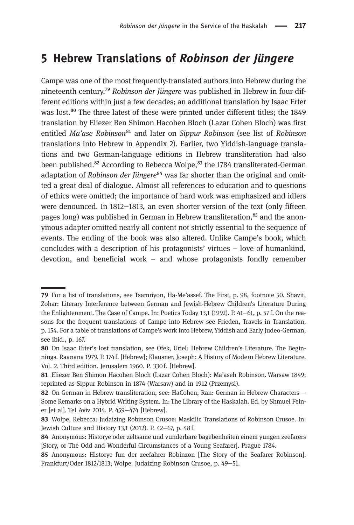## 5 Hebrew Translations of Robinson der Jüngere

Campe was one of the most frequently-translated authors into Hebrew during the nineteenth century.<sup>79</sup> Robinson der Jüngere was published in Hebrew in four different editions within just a few decades; an additional translation by Isaac Erter was lost.<sup>80</sup> The three latest of these were printed under different titles; the 1849 translation by Eliezer Ben Shimon Hacohen Bloch (Lazar Cohen Bloch) was first entitled *Ma'ase Robinson*<sup>81</sup> and later on *Sippur Robinson* (see list of Robinson translations into Hebrew in Appendix 2). Earlier, two Yiddish-language translations and two German-language editions in Hebrew transliteration had also been published.<sup>82</sup> According to Rebecca Wolpe,<sup>83</sup> the 1784 transliterated-German adaptation of Robinson der Jüngere<sup>84</sup> was far shorter than the original and omitted a great deal of dialogue. Almost all references to education and to questions of ethics were omitted; the importance of hard work was emphasized and idlers were denounced. In 1812–1813, an even shorter version of the text (only fifteen pages long) was published in German in Hebrew transliteration,<sup>85</sup> and the anonymous adapter omitted nearly all content not strictly essential to the sequence of events. The ending of the book was also altered. Unlike Campe's book, which concludes with a description of his protagonists' virtues – love of humankind, devotion, and beneficial work – and whose protagonists fondly remember

For a list of translations, see Tsamriyon, Ha-Me'assef. The First, p. 98, footnote 50. Shavit, Zohar: Literary Interference between German and Jewish-Hebrew Children's Literature During the Enlightenment. The Case of Campe. In: Poetics Today 13,1 (1992). P. 41−61, p. 57 f. On the reasons for the frequent translations of Campe into Hebrew see Frieden, Travels in Translation, p. 154. For a table of translations of Campe's work into Hebrew,Yiddish and Early Judeo-German, see ibid., p. 167.

<sup>80</sup> On Isaac Erter's lost translation, see Ofek, Uriel: Hebrew Children's Literature. The Beginnings. Raanana 1979. P. 174f. [Hebrew]; Klausner, Joseph: A History of Modern Hebrew Literature. Vol. 2. Third edition. Jerusalem 1960. P. 330 f. [Hebrew].

Eliezer Ben Shimon Hacohen Bloch (Lazar Cohen Bloch): Ma'aseh Robinson. Warsaw 1849; reprinted as Sippur Robinson in 1874 (Warsaw) and in 1912 (Przemysl).

<sup>82</sup> On German in Hebrew transliteration, see: HaCohen, Ran: German in Hebrew Characters − Some Remarks on a Hybrid Writing System. In: The Library of the Haskalah. Ed. by Shmuel Feiner [et al]. Tel Aviv 2014. P. 459−474 [Hebrew].

Wolpe, Rebecca: Judaizing Robinson Crusoe: Maskilic Translations of Robinson Crusoe. In: Jewish Culture and History 13,1 (2012). P. 42−67, p. 48 f.

<sup>84</sup> Anonymous: Historye oder zeltsame und vunderbare bagebenheiten einem yungen zeefarers [Story, or The Odd and Wonderful Circumstances of a Young Seafarer]. Prague 1784.

<sup>85</sup> Anonymous: Historye fun der zeefahrer Robinzon [The Story of the Seafarer Robinson]. Frankfurt/Oder 1812/1813; Wolpe. Judaizing Robinson Crusoe, p. 49−51.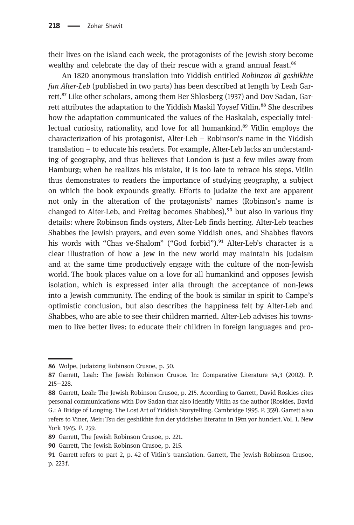their lives on the island each week, the protagonists of the Jewish story become wealthy and celebrate the day of their rescue with a grand annual feast.<sup>86</sup>

An 1820 anonymous translation into Yiddish entitled Robinzon di geshikhte fun Alter-Leb (published in two parts) has been described at length by Leah Garrett.<sup>87</sup> Like other scholars, among them Ber Shlosberg (1937) and Dov Sadan, Garrett attributes the adaptation to the Yiddish Maskil Yoysef Vitlin.<sup>88</sup> She describes how the adaptation communicated the values of the Haskalah, especially intellectual curiosity, rationality, and love for all humankind.<sup>89</sup> Vitlin employs the characterization of his protagonist, Alter-Leb – Robinson's name in the Yiddish translation – to educate his readers. For example, Alter-Leb lacks an understanding of geography, and thus believes that London is just a few miles away from Hamburg; when he realizes his mistake, it is too late to retrace his steps. Vitlin thus demonstrates to readers the importance of studying geography, a subject on which the book expounds greatly. Efforts to judaize the text are apparent not only in the alteration of the protagonists' names (Robinson's name is changed to Alter-Leb, and Freitag becomes Shabbes), $90$  but also in various tiny details: where Robinson finds oysters, Alter-Leb finds herring. Alter-Leb teaches Shabbes the Jewish prayers, and even some Yiddish ones, and Shabbes flavors his words with "Chas ve-Shalom" ("God forbid"). $91$  Alter-Leb's character is a clear illustration of how a Jew in the new world may maintain his Judaism and at the same time productively engage with the culture of the non-Jewish world. The book places value on a love for all humankind and opposes Jewish isolation, which is expressed inter alia through the acceptance of non-Jews into a Jewish community. The ending of the book is similar in spirit to Campe's optimistic conclusion, but also describes the happiness felt by Alter-Leb and Shabbes, who are able to see their children married. Alter-Leb advises his townsmen to live better lives: to educate their children in foreign languages and pro-

<sup>86</sup> Wolpe, Judaizing Robinson Crusoe, p. 50.

<sup>87</sup> Garrett, Leah: The Jewish Robinson Crusoe. In: Comparative Literature 54,3 (2002). P. 215−228.

<sup>88</sup> Garrett, Leah: The Jewish Robinson Crusoe, p. 215. According to Garrett, David Roskies cites personal communications with Dov Sadan that also identify Vitlin as the author (Roskies, David G.: A Bridge of Longing. The Lost Art of Yiddish Storytelling. Cambridge 1995. P. 359). Garrett also refers to Viner, Meir: Tsu der geshikhte fun der yiddisher literatur in 19tn yor hundert. Vol. 1. New York 1945. P. 259.

<sup>89</sup> Garrett, The Jewish Robinson Crusoe, p. 221.

<sup>90</sup> Garrett, The Jewish Robinson Crusoe, p. 215.

<sup>91</sup> Garrett refers to part 2, p. 42 of Vitlin's translation. Garrett, The Jewish Robinson Crusoe, p. 223 f.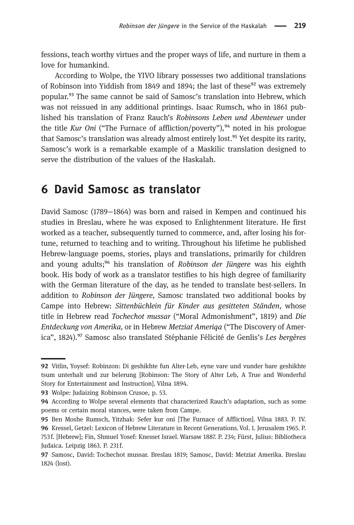fessions, teach worthy virtues and the proper ways of life, and nurture in them a love for humankind.

According to Wolpe, the YIVO library possesses two additional translations of Robinson into Yiddish from 1849 and 1894; the last of these<sup>92</sup> was extremely popular.<sup>93</sup> The same cannot be said of Samosc's translation into Hebrew, which was not reissued in any additional printings. Isaac Rumsch, who in 1861 published his translation of Franz Rauch's Robinsons Leben und Abenteuer under the title Kur Oni ("The Furnace of affliction/poverty"), $94$  noted in his prologue that Samosc's translation was already almost entirely lost.<sup>95</sup> Yet despite its rarity, Samosc's work is a remarkable example of a Maskilic translation designed to serve the distribution of the values of the Haskalah.

## 6 David Samosc as translator

David Samosc (1789−1864) was born and raised in Kempen and continued his studies in Breslau, where he was exposed to Enlightenment literature. He first worked as a teacher, subsequently turned to commerce, and, after losing his fortune, returned to teaching and to writing. Throughout his lifetime he published Hebrew-language poems, stories, plays and translations, primarily for children and young adults;<sup>96</sup> his translation of Robinson der Jüngere was his eighth book. His body of work as a translator testifies to his high degree of familiarity with the German literature of the day, as he tended to translate best-sellers. In addition to Robinson der Jüngere, Samosc translated two additional books by Campe into Hebrew: Sittenbüchlein für Kinder aus gesitteten Ständen, whose title in Hebrew read Tochechot mussar ("Moral Admonishment", 1819) and Die Entdeckung von Amerika, or in Hebrew Metziat Ameriqa ("The Discovery of America", 1824).<sup>97</sup> Samosc also translated Stéphanie Félicité de Genlis's Les bergères

93 Wolpe: Judaizing Robinson Crusoe, p. 53.

<sup>92</sup> Vitlin, Yoysef: Robinzon: Di geshikhte fun Alter-Leb, eyne vare und vunder bare geshikhte tsum unterhalt und zur belerung [Robinson: The Story of Alter Leb, A True and Wonderful Story for Entertainment and Instruction]. Vilna 1894.

**<sup>94</sup>** According to Wolpe several elements that characterized Rauch's adaptation, such as some poems or certain moral stances, were taken from Campe.

Ben Moshe Rumsch, Yitzhak: Sefer kur oni [The Furnace of Affliction]. Vilna 1883. P. IV. 96 Kressel, Getzel: Lexicon of Hebrew Literature in Recent Generations. Vol. 1. Jerusalem 1965. P. 753 f. [Hebrew]; Fin, Shmuel Yosef: Knesset Israel. Warsaw 1887. P. 234; Fürst, Julius: Bibliotheca Judaica. Leipzig 1863. P. 231f.

<sup>97</sup> Samosc, David: Tochechot mussar. Breslau 1819; Samosc, David: Metziat Amerika. Breslau 1824 (lost).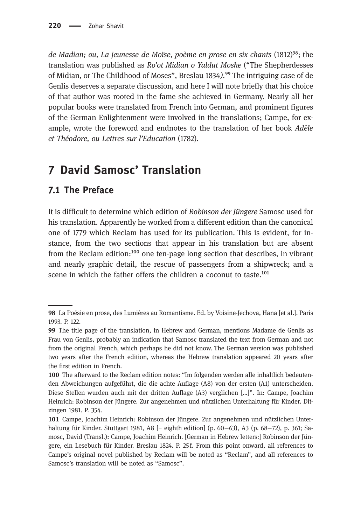de Madian; ou, La jeunesse de Moïse, poème en prose en six chants (1812)<sup>98</sup>; the translation was published as Ro'ot Midian o Yaldut Moshe ("The Shepherdesses of Midian, or The Childhood of Moses", Breslau 1834).<sup>99</sup> The intriguing case of de Genlis deserves a separate discussion, and here I will note briefly that his choice of that author was rooted in the fame she achieved in Germany. Nearly all her popular books were translated from French into German, and prominent figures of the German Enlightenment were involved in the translations; Campe, for example, wrote the foreword and endnotes to the translation of her book Adèle et Théodore, ou Lettres sur l'Education (1782).

## 7 David Samosc' Translation

#### 7.1 The Preface

It is difficult to determine which edition of Robinson der Jüngere Samosc used for his translation. Apparently he worked from a different edition than the canonical one of 1779 which Reclam has used for its publication. This is evident, for instance, from the two sections that appear in his translation but are absent from the Reclam edition: $100$  one ten-page long section that describes, in vibrant and nearly graphic detail, the rescue of passengers from a shipwreck; and a scene in which the father offers the children a coconut to taste. $^{101}$ 

La Poésie en prose, des Lumières au Romantisme. Ed. by Voisine-Jechova, Hana [et al.]. Paris 1993. P. 122.

<sup>99</sup> The title page of the translation, in Hebrew and German, mentions Madame de Genlis as Frau von Genlis, probably an indication that Samosc translated the text from German and not from the original French, which perhaps he did not know. The German version was published two years after the French edition, whereas the Hebrew translation appeared 20 years after the first edition in French.

<sup>100</sup> The afterward to the Reclam edition notes: "Im folgenden werden alle inhaltlich bedeutenden Abweichungen aufgeführt, die die achte Auflage (A8) von der ersten (A1) unterscheiden. Diese Stellen wurden auch mit der dritten Auflage (A3) verglichen […]". In: Campe, Joachim Heinrich: Robinson der Jüngere. Zur angenehmen und nützlichen Unterhaltung für Kinder. Ditzingen 1981. P. 354.

Campe, Joachim Heinrich: Robinson der Jüngere. Zur angenehmen und nützlichen Unterhaltung für Kinder. Stuttgart 1981, A8 [= eighth edition] (p. 60−63), A3 (p. 68−72), p. 361; Samosc, David (Transl.): Campe, Joachim Heinrich. [German in Hebrew letters:] Robinson der Jüngere, ein Lesebuch für Kinder. Breslau 1824. P. 25 f. From this point onward, all references to Campe's original novel published by Reclam will be noted as "Reclam", and all references to Samosc's translation will be noted as "Samosc".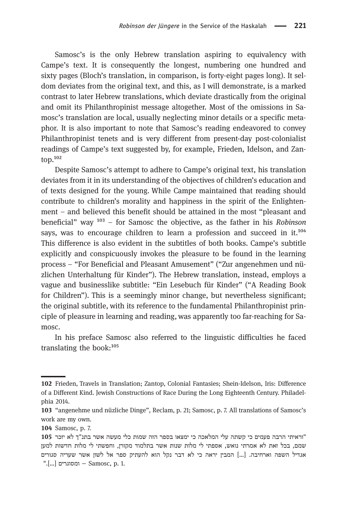Samosc's is the only Hebrew translation aspiring to equivalency with Campe's text. It is consequently the longest, numbering one hundred and sixty pages (Bloch's translation, in comparison, is forty-eight pages long). It seldom deviates from the original text, and this, as I will demonstrate, is a marked contrast to later Hebrew translations, which deviate drastically from the original and omit its Philanthropinist message altogether. Most of the omissions in Samosc's translation are local, usually neglecting minor details or a specific metaphor. It is also important to note that Samosc's reading endeavored to convey Philanthropinist tenets and is very different from present-day post-colonialist readings of Campe's text suggested by, for example, Frieden, Idelson, and Zan $top.<sup>102</sup>$ 

Despite Samosc's attempt to adhere to Campe's original text, his translation deviates from it in its understanding of the objectives of children's education and of texts designed for the young. While Campe maintained that reading should contribute to children's morality and happiness in the spirit of the Enlightenment – and believed this benefit should be attained in the most "pleasant and beneficial" way  $103 -$  for Samosc the objective, as the father in his Robinson says, was to encourage children to learn a profession and succeed in  $it.^{104}$ This difference is also evident in the subtitles of both books. Campe's subtitle explicitly and conspicuously invokes the pleasure to be found in the learning process – "For Beneficial and Pleasant Amusement" ("Zur angenehmen und nüzlichen Unterhaltung für Kinder"). The Hebrew translation, instead, employs a vague and businesslike subtitle: "Ein Lesebuch für Kinder" ("A Reading Book for Children"). This is a seemingly minor change, but nevertheless significant; the original subtitle, with its reference to the fundamental Philanthropinist principle of pleasure in learning and reading, was apparently too far-reaching for Samosc.

In his preface Samosc also referred to the linguistic difficulties he faced translating the book: $105$ 

Frieden, Travels in Translation; Zantop, Colonial Fantasies; Shein-Idelson, Iris: Difference of a Different Kind. Jewish Constructions of Race During the Long Eighteenth Century. Philadelphia 2014.

<sup>103 &</sup>quot;angenehme und nüzliche Dinge", Reclam, p. 21; Samosc, p. 7. All translations of Samosc's work are my own.

<sup>104</sup> Samosc, p. 7.

<sup>&</sup>quot; וראיתי הרבה פעמים כי קשתה עלי המלאכה כי ימצאו בספר הזה שמות כלי מעשה אשר בתנ"ך לא יזכר שמם, בכל זאת לא אמרתי נואש, אספתי לי מלות שנות אשר בתלמוד מקורן, וחפשתי לי מלות חדשות למעו אגדיל השפה וארחיבה. [...] המבין יראה כי לא דבר נקל הוא להעתיק ספר אל לשון אשר שעריה סגורים ".<br>[...] - נמסוגרים: – Samosc, p. 1.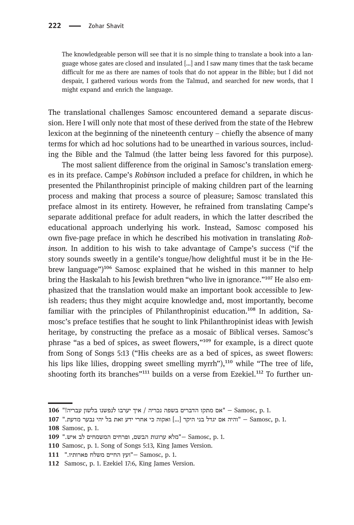The knowledgeable person will see that it is no simple thing to translate a book into a language whose gates are closed and insulated […] and I saw many times that the task became difficult for me as there are names of tools that do not appear in the Bible; but I did not despair, I gathered various words from the Talmud, and searched for new words, that I might expand and enrich the language.

The translational challenges Samosc encountered demand a separate discussion. Here I will only note that most of these derived from the state of the Hebrew lexicon at the beginning of the nineteenth century – chiefly the absence of many terms for which ad hoc solutions had to be unearthed in various sources, including the Bible and the Talmud (the latter being less favored for this purpose).

The most salient difference from the original in Samosc's translation emerges in its preface. Campe's Robinson included a preface for children, in which he presented the Philanthropinist principle of making children part of the learning process and making that process a source of pleasure; Samosc translated this preface almost in its entirety. However, he refrained from translating Campe's separate additional preface for adult readers, in which the latter described the educational approach underlying his work. Instead, Samosc composed his own five-page preface in which he described his motivation in translating Robinson. In addition to his wish to take advantage of Campe's success ("if the story sounds sweetly in a gentile's tongue/how delightful must it be in the Hebrew language")<sup>106</sup> Samosc explained that he wished in this manner to help bring the Haskalah to his Jewish brethren "who live in ignorance."<sup>107</sup> He also emphasized that the translation would make an important book accessible to Jewish readers; thus they might acquire knowledge and, most importantly, become familiar with the principles of Philanthropinist education.<sup>108</sup> In addition, Samosc's preface testifies that he sought to link Philanthropinist ideas with Jewish heritage, by constructing the preface as a mosaic of Biblical verses. Samosc's phrase "as a bed of spices, as sweet flowers,"<sup>109</sup> for example, is a direct quote from Song of Songs 5:13 ("His cheeks are as a bed of spices, as sweet flowers: his lips like lilies, dropping sweet smelling myrrh"),<sup>110</sup> while "The tree of life, shooting forth its branches"<sup>111</sup> builds on a verse from Ezekiel.<sup>112</sup> To further un-

<sup>106 &</sup>quot;אם מתקו הדברים בשפה נכריה / איך יערבו לנפשנו בלשון עבריה - Samosc, p. 1.

<sup>107 &</sup>quot; היה אם יגדל בני היקר [...] ואקוה כי אחרי ידע זאת בל יהי נבער מדעת." בו Tor ו". 108 Samosc, p. 1.

<sup>109 &</sup>quot;מלא ערוגות הבשם, ופרחים המשמחים לב איש." 109 - "מלא ערוגות הבשם

<sup>110</sup> Samosc, p. 1. Song of Songs 5:13, King James Version.

<sup>111 - &</sup>quot;ועץ החיים משלח פארותיו." ב111 ו-Samosc, p. 1.

<sup>112</sup> Samosc, p. 1. Ezekiel 17:6, King James Version.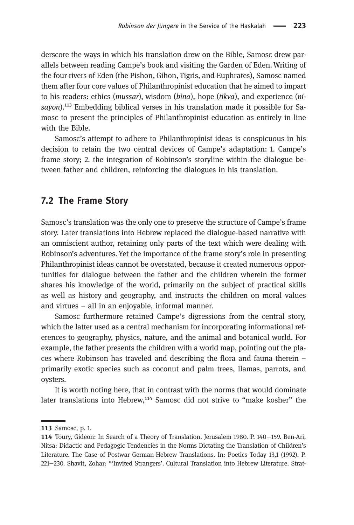derscore the ways in which his translation drew on the Bible, Samosc drew parallels between reading Campe's book and visiting the Garden of Eden. Writing of the four rivers of Eden (the Pishon, Gihon, Tigris, and Euphrates), Samosc named them after four core values of Philanthropinist education that he aimed to impart to his readers: ethics (mussar), wisdom (bina), hope (tikva), and experience (nisayon).<sup>113</sup> Embedding biblical verses in his translation made it possible for Samosc to present the principles of Philanthropinist education as entirely in line with the Bible.

Samosc's attempt to adhere to Philanthropinist ideas is conspicuous in his decision to retain the two central devices of Campe's adaptation: 1. Campe's frame story; 2. the integration of Robinson's storyline within the dialogue between father and children, reinforcing the dialogues in his translation.

#### 7.2 The Frame Story

Samosc's translation was the only one to preserve the structure of Campe's frame story. Later translations into Hebrew replaced the dialogue-based narrative with an omniscient author, retaining only parts of the text which were dealing with Robinson's adventures. Yet the importance of the frame story's role in presenting Philanthropinist ideas cannot be overstated, because it created numerous opportunities for dialogue between the father and the children wherein the former shares his knowledge of the world, primarily on the subject of practical skills as well as history and geography, and instructs the children on moral values and virtues – all in an enjoyable, informal manner.

Samosc furthermore retained Campe's digressions from the central story, which the latter used as a central mechanism for incorporating informational references to geography, physics, nature, and the animal and botanical world. For example, the father presents the children with a world map, pointing out the places where Robinson has traveled and describing the flora and fauna therein – primarily exotic species such as coconut and palm trees, llamas, parrots, and oysters.

It is worth noting here, that in contrast with the norms that would dominate later translations into Hebrew,<sup>114</sup> Samosc did not strive to "make kosher" the

<sup>113</sup> Samosc, p. 1.

Toury, Gideon: In Search of a Theory of Translation. Jerusalem 1980. P. 140−159. Ben-Ari, Nitsa: Didactic and Pedagogic Tendencies in the Norms Dictating the Translation of Children's Literature. The Case of Postwar German-Hebrew Translations. In: Poetics Today 13,1 (1992). P. 221−230. Shavit, Zohar: "'Invited Strangers'. Cultural Translation into Hebrew Literature. Strat-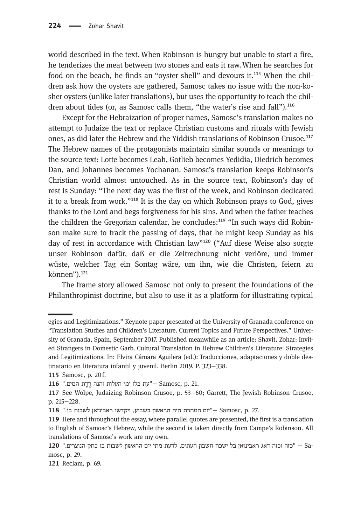world described in the text. When Robinson is hungry but unable to start a fire, he tenderizes the meat between two stones and eats it raw.When he searches for food on the beach, he finds an "oyster shell" and devours it.<sup>115</sup> When the children ask how the oysters are gathered, Samosc takes no issue with the non-kosher oysters (unlike later translations), but uses the opportunity to teach the children about tides (or, as Samosc calls them, "the water's rise and fall"). $^{116}$ 

Except for the Hebraization of proper names, Samosc's translation makes no attempt to Judaize the text or replace Christian customs and rituals with Jewish ones, as did later the Hebrew and the Yiddish translations of Robinson Crusoe.<sup>117</sup> The Hebrew names of the protagonists maintain similar sounds or meanings to the source text: Lotte becomes Leah, Gotlieb becomes Yedidia, Diedrich becomes Dan, and Johannes becomes Yochanan. Samosc's translation keeps Robinson's Christian world almost untouched. As in the source text, Robinson's day of rest is Sunday: "The next day was the first of the week, and Robinson dedicated it to a break from work."<sup>118</sup> It is the day on which Robinson prays to God, gives thanks to the Lord and begs forgiveness for his sins. And when the father teaches the children the Gregorian calendar, he concludes: $^{119}$  "In such ways did Robinson make sure to track the passing of days, that he might keep Sunday as his day of rest in accordance with Christian law"<sup>120</sup> ("Auf diese Weise also sorgte unser Robinson dafür, daß er die Zeitrechnung nicht verlöre, und immer wüste, welcher Tag ein Sontag wäre, um ihn, wie die Christen, feiern zu können").<sup>121</sup>

The frame story allowed Samosc not only to present the foundations of the Philanthropinist doctrine, but also to use it as a platform for illustrating typical

egies and Legitimizations." Keynote paper presented at the University of Granada conference on "Translation Studies and Children's Literature. Current Topics and Future Perspectives." University of Granada, Spain, September 2017. Published meanwhile as an article: Shavit, Zohar: Invited Strangers in Domestic Garb. Cultural Translation in Hebrew Children's Literature: Strategies and Legitimizations. In: Elvira Cámara Aguilera (ed.): Traducciones, adaptaciones y doble destinatario en literatura infantil y juvenil. Berlin 2019. P. 323−338.

<sup>115</sup> Samosc, p. 20f.

<sup>116 &</sup>quot;עת כלו ימי העלות והנה רֵדֶת המים." 116. .jp ו-Samosc, p. 21

<sup>117</sup> See Wolpe, Judaizing Robinson Crusoe, p. 53–60; Garrett, The Jewish Robinson Crusoe, p. 215−228.

<sup>118 &</sup>quot;יום המחרת היה הראשון בשבוע, ויקדשו ראבינזאן לשבות בו." 118 ."

<sup>119</sup> Here and throughout the essay, where parallel quotes are presented, the first is a translation to English of Samosc's Hebrew, while the second is taken directly from Campe's Robinson. All translations of Samosc's work are my own.

<sup>210 &</sup>quot; זכוה וכזה דאג ראבינזאן בל ישכח חשבון העתים, לדעת מתי יום הראשון לשבות בו כחק הנוצרים.<br>29. mosc, p. 29.

<sup>121</sup> Reclam, p. 69.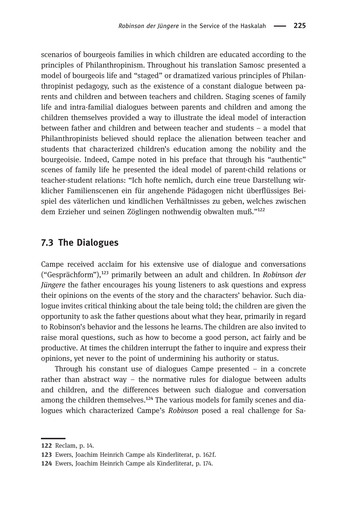scenarios of bourgeois families in which children are educated according to the principles of Philanthropinism. Throughout his translation Samosc presented a model of bourgeois life and "staged" or dramatized various principles of Philanthropinist pedagogy, such as the existence of a constant dialogue between parents and children and between teachers and children. Staging scenes of family life and intra-familial dialogues between parents and children and among the children themselves provided a way to illustrate the ideal model of interaction between father and children and between teacher and students – a model that Philanthropinists believed should replace the alienation between teacher and students that characterized children's education among the nobility and the bourgeoisie. Indeed, Campe noted in his preface that through his "authentic" scenes of family life he presented the ideal model of parent-child relations or teacher-student relations: "Ich hofte nemlich, durch eine treue Darstellung wirklicher Familienscenen ein für angehende Pädagogen nicht überflüssiges Beispiel des väterlichen und kindlichen Verhältnisses zu geben, welches zwischen dem Erzieher und seinen Zöglingen nothwendig obwalten muß."<sup>122</sup>

#### 7.3 The Dialogues

Campe received acclaim for his extensive use of dialogue and conversations ("Gesprächform"),<sup>123</sup> primarily between an adult and children. In Robinson der Jüngere the father encourages his young listeners to ask questions and express their opinions on the events of the story and the characters' behavior. Such dialogue invites critical thinking about the tale being told; the children are given the opportunity to ask the father questions about what they hear, primarily in regard to Robinson's behavior and the lessons he learns. The children are also invited to raise moral questions, such as how to become a good person, act fairly and be productive. At times the children interrupt the father to inquire and express their opinions, yet never to the point of undermining his authority or status.

Through his constant use of dialogues Campe presented – in a concrete rather than abstract way – the normative rules for dialogue between adults and children, and the differences between such dialogue and conversation among the children themselves.<sup>124</sup> The various models for family scenes and dialogues which characterized Campe's Robinson posed a real challenge for Sa-

<sup>122</sup> Reclam, p. 14.

<sup>123</sup> Ewers, Joachim Heinrich Campe als Kinderliterat, p. 162f.

Ewers, Joachim Heinrich Campe als Kinderliterat, p. 174.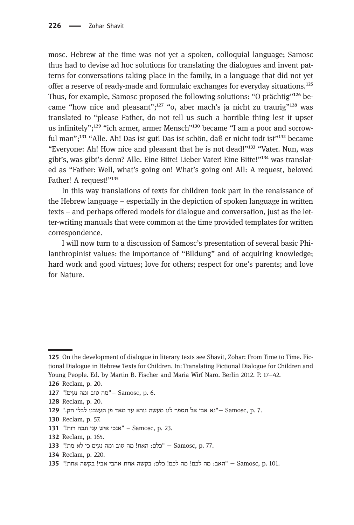mosc. Hebrew at the time was not yet a spoken, colloquial language; Samosc thus had to devise ad hoc solutions for translating the dialogues and invent patterns for conversations taking place in the family, in a language that did not yet offer a reserve of ready-made and formulaic exchanges for everyday situations.<sup>125</sup> Thus, for example, Samosc proposed the following solutions: "O prächtig"<sup>126</sup> became "how nice and pleasant";<sup>127</sup> "o, aber mach's ja nicht zu traurig"<sup>128</sup> was translated to "please Father, do not tell us such a horrible thing lest it upset us infinitely"; $^{129}$  "ich armer, armer Mensch"<sup>130</sup> became "I am a poor and sorrowful man";<sup>131</sup> "Alle. Ah! Das ist gut! Das ist schön, daß er nicht todt ist<sup>"132</sup> became "Everyone: Ah! How nice and pleasant that he is not dead!"<sup>133</sup> "Vater. Nun, was gibt's, was gibt's denn? Alle. Eine Bitte! Lieber Vater! Eine Bitte!"<sup>134</sup> was translated as "Father: Well, what's going on! What's going on! All: A request, beloved Father! A request!"135

In this way translations of texts for children took part in the renaissance of the Hebrew language – especially in the depiction of spoken language in written texts – and perhaps offered models for dialogue and conversation, just as the letter-writing manuals that were common at the time provided templates for written correspondence.

I will now turn to a discussion of Samosc's presentation of several basic Philanthropinist values: the importance of "Bildung" and of acquiring knowledge; hard work and good virtues; love for others; respect for one's parents; and love for Nature.

127 "מה טוב ומה נעים. "<br/> - Samosc, p. 6.

- 131 "אנכי איש עני ונכה רוח Samosc, p. 23.
- 132 Reclam, p. 165.
- 133 "Hot on האח! מה טוב ומה נעים כי לא מת ". 133
- 134 Reclam, p. 220.
- .911. החת אהבי אבי! בקשה אחת!" 135 − "האב: מה לכם! מה לכם! מה לכם! מחל ו הא

<sup>125</sup> On the development of dialogue in literary texts see Shavit, Zohar: From Time to Time. Fictional Dialogue in Hebrew Texts for Children. In: Translating Fictional Dialogue for Children and Young People. Ed. by Martin B. Fischer and Maria Wirf Naro. Berlin 2012. P. 17−42.

<sup>126</sup> Reclam, p. 20.

<sup>128</sup> Reclam, p. 20.

<sup>129 &</sup>quot;אבי אל תספר לנו מעשה נורא עד מאד פן תעצבנו לבלי חק. "29 Gamosc, p. 7.

<sup>130</sup> Reclam, p. 57.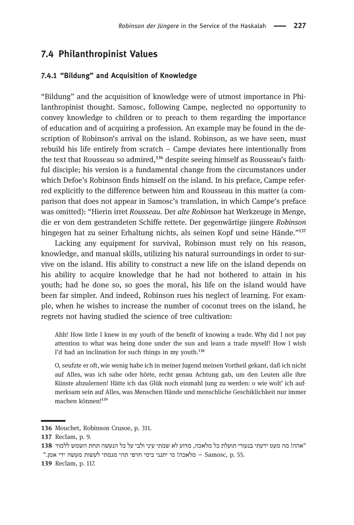#### 7.4 Philanthropinist Values

#### 7.4.1 "Bildung" and Acquisition of Knowledge

"Bildung" and the acquisition of knowledge were of utmost importance in Philanthropinist thought. Samosc, following Campe, neglected no opportunity to convey knowledge to children or to preach to them regarding the importance of education and of acquiring a profession. An example may be found in the description of Robinson's arrival on the island. Robinson, as we have seen, must rebuild his life entirely from scratch – Campe deviates here intentionally from the text that Rousseau so admired, $136$  despite seeing himself as Rousseau's faithful disciple; his version is a fundamental change from the circumstances under which Defoe's Robinson finds himself on the island. In his preface, Campe referred explicitly to the difference between him and Rousseau in this matter (a comparison that does not appear in Samosc's translation, in which Campe's preface was omitted): "Hierin irret Rousseau. Der alte Robinson hat Werkzeuge in Menge, die er von dem gestrandeten Schiffe rettete. Der gegenwärtige jüngere Robinson hingegen hat zu seiner Erhaltung nichts, als seinen Kopf und seine Hände."<sup>137</sup>

Lacking any equipment for survival, Robinson must rely on his reason, knowledge, and manual skills, utilizing his natural surroundings in order to survive on the island. His ability to construct a new life on the island depends on his ability to acquire knowledge that he had not bothered to attain in his youth; had he done so, so goes the moral, his life on the island would have been far simpler. And indeed, Robinson rues his neglect of learning. For example, when he wishes to increase the number of coconut trees on the island, he regrets not having studied the science of tree cultivation:

Ahh! How little I knew in my youth of the benefit of knowing a trade. Why did I not pay attention to what was being done under the sun and learn a trade myself! How I wish I'd had an inclination for such things in my youth.<sup>138</sup>

O, seufzte er oft, wie wenig habe ich in meiner Jugend meinen Vortheil gekant, daß ich nicht auf Alles, was ich sahe oder hörte, recht genau Achtung gab, um den Leuten alle ihre Künste abzulernen! Hätte ich das Glük noch einmahl jung zu werden: o wie wolt' ich aufmerksam sein auf Alles, was Menschen Hände und menschliche Geschiklichkeit nur immer machen können!<sup>139</sup>

139 Reclam, p. 117.

<sup>136</sup> Mouchet, Robinson Crusoe, p. 311.

<sup>137</sup> Reclam, p. 9.

<sup>&</sup>quot;אהה! מה מעט ידעתי בנעורי תועלת כל מלאכה, מדוע לא שמתי עיני ולבי על כל הנעשה תחת השמש ללמוד 138 .55 הלאכה! מי יתנני כימי חרפי תהי מגמתי לעשות מעשה ידי אמן."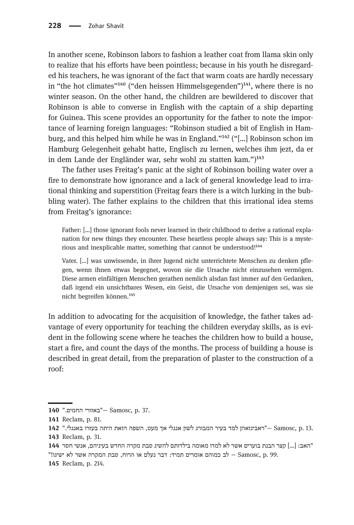In another scene, Robinson labors to fashion a leather coat from llama skin only to realize that his efforts have been pointless; because in his youth he disregarded his teachers, he was ignorant of the fact that warm coats are hardly necessary in "the hot climates"<sup>140</sup> ("den heissen Himmelsgegenden")<sup>141</sup>, where there is no winter season. On the other hand, the children are bewildered to discover that Robinson is able to converse in English with the captain of a ship departing for Guinea. This scene provides an opportunity for the father to note the importance of learning foreign languages: "Robinson studied a bit of English in Hamburg, and this helped him while he was in England."<sup>142</sup> ("[...] Robinson schon im Hamburg Gelegenheit gehabt hatte, Englisch zu lernen, welches ihm jezt, da er in dem Lande der Engländer war, sehr wohl zu statten kam.") $^{143}$ 

The father uses Freitag's panic at the sight of Robinson boiling water over a fire to demonstrate how ignorance and a lack of general knowledge lead to irrational thinking and superstition (Freitag fears there is a witch lurking in the bubbling water). The father explains to the children that this irrational idea stems from Freitag's ignorance:

Father: […] those ignorant fools never learned in their childhood to derive a rational explanation for new things they encounter. These heartless people always say: This is a mysterious and inexplicable matter, something that cannot be understood!<sup>144</sup>

Vater. […] was unwissende, in ihrer Jugend nicht unterrichtete Menschen zu denken pflegen, wenn ihnen etwas begegnet, wovon sie die Ursache nicht einzusehen vermögen. Diese armen einfältigen Menschen gerathen nemlich alsdan fast immer auf den Gedanken, daß irgend ein unsichtbares Wesen, ein Geist, die Ursache von demjenigen sei, was sie nicht begreifen können.<sup>145</sup>

In addition to advocating for the acquisition of knowledge, the father takes advantage of every opportunity for teaching the children everyday skills, as is evident in the following scene where he teaches the children how to build a house, start a fire, and count the days of the months. The process of building a house is described in great detail, from the preparation of plaster to the construction of a roof:

"האב: [...] קצר הבנת בוערים אשר לא למדו מאומה בילדותם להשיג סבת מקרה החדש בעיניהם, אנשי חסר 144 "לב כמוהם אומרים תמיד: דבר נעלם או הרוח, סבת המקרה אשר לא ישיגו.µ כ"ב כמוהם אומרים ת

145 Reclam, p. 214.

<sup>140 &</sup>quot;באזורי החמים.<sup>"</sup> Samosc, p. 37.

<sup>141</sup> Reclam, p. 81.

<sup>142 &</sup>quot;אבינזאהן למד בעיר המבורג לשון אנגלי אך מעט, השפה הזאת היתה בעזרו באנגלי. "Camosc, p. 13. 143 Reclam, p. 31.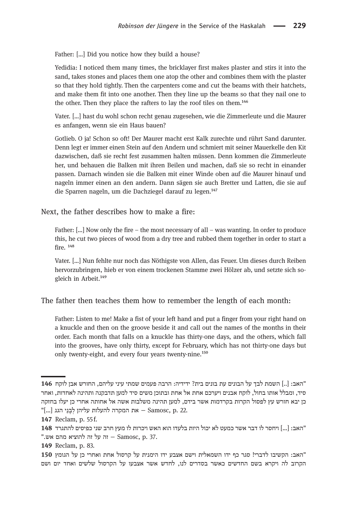Father: […] Did you notice how they build a house?

Yedidia: I noticed them many times, the bricklayer first makes plaster and stirs it into the sand, takes stones and places them one atop the other and combines them with the plaster so that they hold tightly. Then the carpenters come and cut the beams with their hatchets, and make them fit into one another. Then they line up the beams so that they nail one to the other. Then they place the rafters to lay the roof tiles on them.<sup>146</sup>

Vater. […] hast du wohl schon recht genau zugesehen, wie die Zimmerleute und die Maurer es anfangen, wenn sie ein Haus bauen?

Gotlieb. O ja! Schon so oft! Der Maurer macht erst Kalk zurechte und rührt Sand darunter. Denn legt er immer einen Stein auf den Andern und schmiert mit seiner Mauerkelle den Kit dazwischen, daß sie recht fest zusammen halten müssen. Denn kommen die Zimmerleute her, und behauen die Balken mit ihren Beilen und machen, daß sie so recht in einander passen. Darnach winden sie die Balken mit einer Winde oben auf die Maurer hinauf und nageln immer einen an den andern. Dann sägen sie auch Bretter und Latten, die sie auf die Sparren nageln, um die Dachziegel darauf zu legen.<sup>147</sup>

Next, the father describes how to make a fire:

Father: […] Now only the fire – the most necessary of all – was wanting. In order to produce this, he cut two pieces of wood from a dry tree and rubbed them together in order to start a  $firA<sup>148</sup>$ 

Vater. […] Nun fehlte nur noch das Nöthigste von Allen, das Feuer. Um dieses durch Reiben hervorzubringen, hieb er von einem trockenen Stamme zwei Hölzer ab, und setzte sich sogleich in Arbeit.<sup>149</sup>

The father then teaches them how to remember the length of each month:

Father: Listen to me! Make a fist of your left hand and put a finger from your right hand on a knuckle and then on the groove beside it and call out the names of the months in their order. Each month that falls on a knuckle has thirty-one days, and the others, which fall into the grooves, have only thirty, except for February, which has not thirty-one days but only twenty-eight, and every four years twenty-nine.<sup>150</sup>

<sup>&</sup>quot;האב: [..] השמת לבך על הבונים עת בונים בית? ידידיה: הרבה פעמים שמתי עיני עליהם, החורש אבן לוקח 146 סיד, ומבלל אותו בחול, לוקח אבנים ויערכם אחת אל אחת ובתוכן משים סיד למען תדבקנה ותהינה לאחדות, ואחר כן יבא חורש עץ לפסול הקרות בקרדמות אשר בידם, למען תהינה משלבות אשה אל אחותה אחרי כן יעלו בחזקה "[...] את המקרה להעלות עליהן לבני הגג [...] (αποsc, p. 22.

<sup>147</sup> Reclam, p. 55 f.

 $148\,$  האב:  $[...]$  ויחסר לו דבר אשר כמעט לא יכול היות בלעדו הוא האש ויכרות לו מעץ חרב שני כפיסים להתגרד ".ש. הז על זה להוציא מהם אש.

<sup>149</sup> Reclam, p. 83.

<sup>&</sup>quot;האב: הקשיבו לדברי! סגר כף ידו השמאלית וישם אצבע ידו הימנית על קרסול אחת ואחרי כן על הגומץ 150 הסרוב לה ויקרא בשם החדשים כאשר בסדרים לנו. לחדש אשר אצבעו על הקרסול שלשים ואחד יום ושם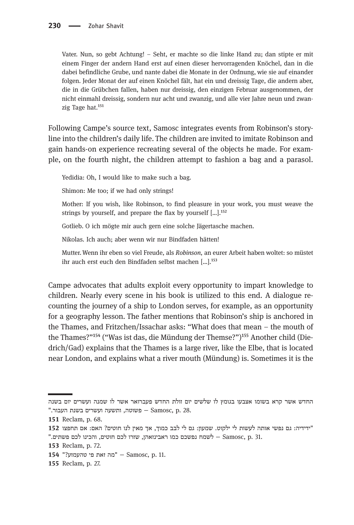Vater. Nun, so gebt Achtung! – Seht, er machte so die linke Hand zu; dan stipte er mit einem Finger der andern Hand erst auf einen dieser hervorragenden Knöchel, dan in die dabei befindliche Grube, und nante dabei die Monate in der Ordnung, wie sie auf einander folgen. Jeder Monat der auf einen Knöchel fält, hat ein und dreissig Tage, die andern aber, die in die Grübchen fallen, haben nur dreissig, den einzigen Februar ausgenommen, der nicht einmahl dreissig, sondern nur acht und zwanzig, und alle vier Jahre neun und zwanzig Tage hat.<sup>151</sup>

Following Campe's source text, Samosc integrates events from Robinson's storyline into the children's daily life. The children are invited to imitate Robinson and gain hands-on experience recreating several of the objects he made. For example, on the fourth night, the children attempt to fashion a bag and a parasol.

Yedidia: Oh, I would like to make such a bag.

Shimon: Me too; if we had only strings!

Mother: If you wish, like Robinson, to find pleasure in your work, you must weave the strings by yourself, and prepare the flax by yourself  $[...]$ .<sup>152</sup>

Gotlieb. O ich mögte mir auch gern eine solche Jägertasche machen.

Nikolas. Ich auch; aber wenn wir nur Bindfaden hätten!

Mutter.Wenn ihr eben so viel Freude, als Robinson, an eurer Arbeit haben woltet: so müstet ihr auch erst euch den Bindfaden selbst machen [...].<sup>153</sup>

Campe advocates that adults exploit every opportunity to impart knowledge to children. Nearly every scene in his book is utilized to this end. A dialogue recounting the journey of a ship to London serves, for example, as an opportunity for a geography lesson. The father mentions that Robinson's ship is anchored in the Thames, and Fritzchen/Issachar asks: "What does that mean – the mouth of the Thames?"<sup>154</sup> ("Was ist das, die Mündung der Themse?")<sup>155</sup> Another child (Diedrich/Gad) explains that the Thames is a large river, like the Elbe, that is located near London, and explains what a river mouth (Mündung) is. Sometimes it is the

החדש אשר קרא בשומו אצבעו בגומץ לו שלשים יום זולת החדש פעברואר אשר לו שמנה ועשרים יום בשנה ". בשנת העבור - Samosc, p. 28. העשעה ועשרים בשנת העבור - Samosc, p

<sup>151</sup> Reclam, p. 68.

<sup>&</sup>quot;ידידיה: גם נפשי אותה לעשות לי ילקוט. שמעון: גם לי לבב כמוך, אך מאין לנו חוטים? האם: אם תחפצו 152 "31. .p .31. הבינו לכם פשתים - Samosc, p. 31

<sup>153</sup> Reclam, p. 72.

<sup>154 &</sup>quot;?מה זאת פי טהעמזע" = Samosc, p. 11.

<sup>155</sup> Reclam, p. 27.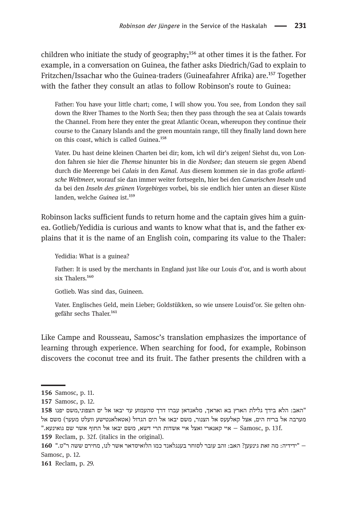children who initiate the study of geography;<sup>156</sup> at other times it is the father. For example, in a conversation on Guinea, the father asks Diedrich/Gad to explain to Fritzchen/Issachar who the Guinea-traders (Guineafahrer Afrika) are.<sup>157</sup> Together with the father they consult an atlas to follow Robinson's route to Guinea:

Father: You have your little chart; come, I will show you. You see, from London they sail down the River Thames to the North Sea; then they pass through the sea at Calais towards the Channel. From here they enter the great Atlantic Ocean, whereupon they continue their course to the Canary Islands and the green mountain range, till they finally land down here on this coast, which is called Guinea.<sup>158</sup>

Vater. Du hast deine kleinen Charten bei dir; kom, ich wil dir's zeigen! Siehst du, von London fahren sie hier die Themse hinunter bis in die Nordsee; dan steuern sie gegen Abend durch die Meerenge bei Calais in den Kanal. Aus diesem kommen sie in das große atlantische Weltmeer, worauf sie dan immer weiter fortsegeln, hier bei den Canarischen Inseln und da bei den Inseln des grünen Vorgebirges vorbei, bis sie endlich hier unten an dieser Küste landen, welche Guinea ist.<sup>159</sup>

Robinson lacks sufficient funds to return home and the captain gives him a guinea. Gotlieb/Yedidia is curious and wants to know what that is, and the father explains that it is the name of an English coin, comparing its value to the Thaler:

Yedidia: What is a guinea?

Father: It is used by the merchants in England just like our Louis d'or, and is worth about six Thalers.<sup>160</sup>

Gotlieb. Was sind das, Guineen.

Vater. Englisches Geld, mein Lieber; Goldstükken, so wie unsere Louisd'or. Sie gelten ohngefähr sechs Thaler.<sup>161</sup>

Like Campe and Rousseau, Samosc's translation emphasizes the importance of learning through experience. When searching for food, for example, Robinson discovers the coconut tree and its fruit. The father presents the children with a

161 Reclam, p. 29.

<sup>156</sup> Samosc, p. 11.

<sup>157</sup> Samosc, p. 12.

<sup>158</sup> באב: הלא בידך גלילת הארץ בא ואראך, מלאנדאן עברו דרך טהעמזע עד יבאו אל ים הצפוני,משם יפנו" מערבה אל בריח הים, אצל קאלעעס אל הצנור, משם יבאו אל הים הגדול (אטאלאנטישע וועלט מעער) משם אל .f יא יאשדות הרי דשא, משם יבאו אל החוף אשר שם או יענעא. ד האי סאשדות האינעא.

<sup>159</sup> Reclam, p. 32f. (italics in the original).

<sup>−</sup> " הידידי : המ אז גת ני ןעע ? באה : הז עב בו לר וס רח עב גנ אל דנ מכ הו ול יא דס רא שא לר ונ , חמ רי שם רהש "ט ". Samosc, p. 12.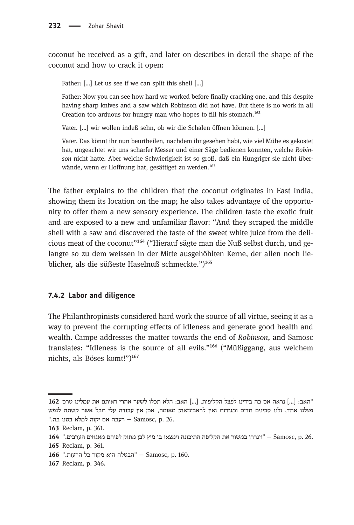coconut he received as a gift, and later on describes in detail the shape of the coconut and how to crack it open:

Father: […] Let us see if we can split this shell […]

Father: Now you can see how hard we worked before finally cracking one, and this despite having sharp knives and a saw which Robinson did not have. But there is no work in all Creation too arduous for hungry man who hopes to fill his stomach.<sup>162</sup>

Vater. […] wir wollen indeß sehn, ob wir die Schalen öffnen können. […]

Vater. Das könnt ihr nun beurtheilen, nachdem ihr gesehen habt, wie viel Mühe es gekostet hat, ungeachtet wir uns scharfer Messer und einer Säge bedienen konnten, welche Robinson nicht hatte. Aber welche Schwierigkeit ist so groß, daß ein Hungriger sie nicht überwände, wenn er Hoffnung hat, gesättiget zu werden.<sup>163</sup>

The father explains to the children that the coconut originates in East India, showing them its location on the map; he also takes advantage of the opportunity to offer them a new sensory experience. The children taste the exotic fruit and are exposed to a new and unfamiliar flavor: "And they scraped the middle shell with a saw and discovered the taste of the sweet white juice from the delicious meat of the coconut<sup> $164$ </sup> ("Hierauf sägte man die Nuß selbst durch, und gelangte so zu dem weissen in der Mitte ausgehöhlten Kerne, der allen noch lieblicher, als die süßeste Haselnuß schmeckte.")<sup>165</sup>

#### 7.4.2 Labor and diligence

The Philanthropinists considered hard work the source of all virtue, seeing it as a way to prevent the corrupting effects of idleness and generate good health and wealth. Campe addresses the matter towards the end of Robinson, and Samosc translates: "Idleness is the source of all evils."<sup>166</sup> ("Müßiggang, aus welchem nichts, als Böses komt!")<sup>167</sup>

<sup>&</sup>quot;האב: [...] נראה אם כח בידינו לפצל הקליפות. [...] האב: הלא תכלו לשער אחרי ראיתם את עמלינו טרם 162 פצלנו אחד, ולנו סכינים חדים ומגזרות ואין לראבינזאהן מאומה, אכן אין עבודה עלי תבל אשר קשתה לנפש "בטעו בה. ה Samosc, p. 26.

<sup>163</sup> Reclam, p. 361.

<sup>164 − &</sup>quot; יוגררו במשור את הקליפה התיכונה וימצאו בו מיץ לבן מתוק לפיהם מאגוזים הערבים" (164 − 5amosc, p 165 Reclam, p. 361.

<sup>166 &</sup>quot;.הבטלה היא מקור כל הרעות ".56 Samosc, p.160

<sup>167</sup> Reclam, p. 346.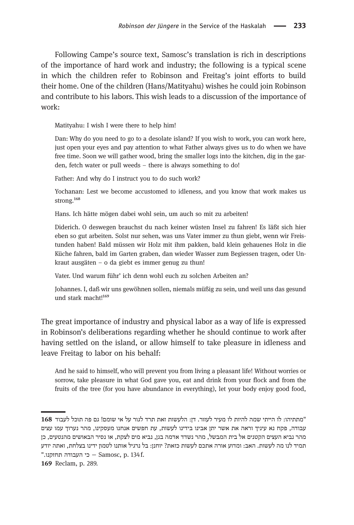Following Campe's source text, Samosc's translation is rich in descriptions of the importance of hard work and industry; the following is a typical scene in which the children refer to Robinson and Freitag's joint efforts to build their home. One of the children (Hans/Matityahu) wishes he could join Robinson and contribute to his labors. This wish leads to a discussion of the importance of work:

Matityahu: I wish I were there to help him!

Dan: Why do you need to go to a desolate island? If you wish to work, you can work here, just open your eyes and pay attention to what Father always gives us to do when we have free time. Soon we will gather wood, bring the smaller logs into the kitchen, dig in the garden, fetch water or pull weeds – there is always something to do!

Father: And why do I instruct you to do such work?

Yochanan: Lest we become accustomed to idleness, and you know that work makes us strong.<sup>168</sup>

Hans. Ich hätte mögen dabei wohl sein, um auch so mit zu arbeiten!

Diderich. O deswegen brauchst du nach keiner wüsten Insel zu fahren! Es läßt sich hier eben so gut arbeiten. Solst nur sehen, was uns Vater immer zu thun giebt, wenn wir Freistunden haben! Bald müssen wir Holz mit ihm pakken, bald klein gehauenes Holz in die Küche fahren, bald im Garten graben, dan wieder Wasser zum Begiessen tragen, oder Unkraut ausgäten – o da giebt es immer genug zu thun!

Vater. Und warum führ' ich denn wohl euch zu solchen Arbeiten an?

Johannes. I, daß wir uns gewöhnen sollen, niemals müßig zu sein, und weil uns das gesund und stark macht!<sup>169</sup>

The great importance of industry and physical labor as a way of life is expressed in Robinson's deliberations regarding whether he should continue to work after having settled on the island, or allow himself to take pleasure in idleness and leave Freitag to labor on his behalf:

And he said to himself, who will prevent you from living a pleasant life! Without worries or sorrow, take pleasure in what God gave you, eat and drink from your flock and from the fruits of the tree (for you have abundance in everything), let your body enjoy good food,

<sup>&</sup>quot;מתתיהו: לו הייתי שמה להיות לו מעיר לעזור. דן: הלעשות זאת תרד לגור על אי שומם! גם פה תוכל לעבוד 168 עבודה, פקח נא עיניך וראה את אשר יתן אבינו בידינו לעשות, עת חפשים אנחנו מעסקינו, מהר נערוך עמו עצים מהר נביא העצים הקטנים אל בית המבשל, מהר נשדד אדמה בגן, נביא מים לצקת, או נסיר הבאושים מהנטעים, כן תמיד לנו מה לעשות. האב: ומדוע אורה אתכם לעשות כזאת? יוחנז: בל נרגיל אותנו לטמון ידינו בצלחת, ואתה יודע ". העבודה תחזקנו <sup>.m</sup> - Samosc, p. 134f.

<sup>169</sup> Reclam, p. 289.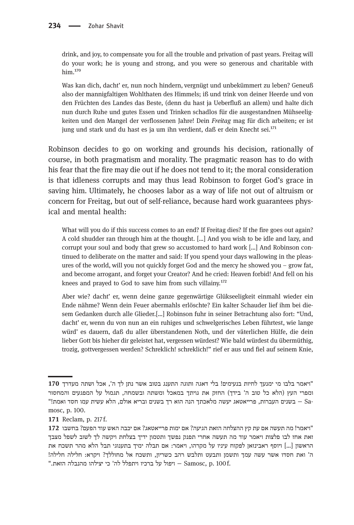drink, and joy, to compensate you for all the trouble and privation of past years. Freitag will do your work; he is young and strong, and you were so generous and charitable with him.<sup>170</sup>

Was kan dich, dacht' er, nun noch hindern, vergnügt und unbekümmert zu leben? Geneuß also der mannigfaltigen Wohlthaten des Himmels; iß und trink von deiner Heerde und von den Früchten des Landes das Beste, (denn du hast ja Ueberfluß an allem) und halte dich nun durch Ruhe und gutes Essen und Trinken schadlos für die ausgestandnen Mühseeligkeiten und den Mangel der verflossenen Jahre! Dein Freitag mag für dich arbeiten; er ist jung und stark und du hast es ja um ihn verdient, daß er dein Knecht sei.<sup>171</sup>

Robinson decides to go on working and grounds his decision, rationally of course, in both pragmatism and morality. The pragmatic reason has to do with his fear that the fire may die out if he does not tend to it; the moral consideration is that idleness corrupts and may thus lead Robinson to forget God's grace in saving him. Ultimately, he chooses labor as a way of life not out of altruism or concern for Freitag, but out of self-reliance, because hard work guarantees physical and mental health:

What will you do if this success comes to an end? If Freitag dies? If the fire goes out again? A cold shudder ran through him at the thought. […] And you wish to be idle and lazy, and corrupt your soul and body that grew so accustomed to hard work […] And Robinson continued to deliberate on the matter and said: If you spend your days wallowing in the pleasures of the world, will you not quickly forget God and the mercy he showed you – grow fat, and become arrogant, and forget your Creator? And he cried: Heaven forbid! And fell on his knees and prayed to God to save him from such villainy.<sup>172</sup>

Aber wie? dacht' er, wenn deine ganze gegenwärtige Glükseeligkeit einmahl wieder ein Ende nähme? Wenn dein Feuer abermahls erlöschte? Ein kalter Schauder lief ihm bei diesem Gedanken durch alle Glieder.[…] Robinson fuhr in seiner Betrachtung also fort: "Und, dacht' er, wenn du von nun an ein ruhiges und schwelgerisches Leben führtest, wie lange würd' es dauern, daß du aller überstandenen Noth, und der väterlichen Hülfe, die dein lieber Gott bis hieher dir geleistet hat, vergessen würdest? Wie bald würdest du übermüthig, trozig, gottvergessen werden? Schreklich! schreklich!" rief er aus und fiel auf seinem Knie,

<sup>&</sup>quot;ויאמר בלבו מי ימנעד לחיות בנעימים! בלי דאגה ותוגה התענג בטוב אשר נתן לך ה', אכל ושתה מעדרך 170 ומפרי העץ (הלא כל טוב ה' בידך) החזק את גויתך במאכל ומשתה ובשמחה, תגמול על המפגעים והמחסור "הא עשית עמו חסד ואמת!" בשנים ובריא אולם, הלא עשית עמו חסד ואמת - Sa<br>mosc, p. 100.

<sup>171</sup> Reclam, p. 217 f.

<sup>&</sup>quot; ויאמר! מה תעשה אם עת קץ ההצלחה הזאת הגיעה? אם ימות פרייאטאג? אם יכבה האש עוד הפעם? בחשבו 172 זאת אחז לבו פלצות ויאמר עוד מה תעשה אחרי תפנק נפשך ותטמון ידיך בצלחת ויקשה לך לשוב לשפל מצבך הראשון [...] ויוסף ראבינזאן לפקוח עיניו על מקרהו, ויאמר: אם תבלה ימיך בתענוגי תבל הלא מהר תשכח את ה' ואת חסדו אשר עשה עמך ותשמן ותבעט ותלבש רהב כשריון, ותשכח אל מחוללך? ויקרא: חלילה חלילה! .f ויפול על ברכיו ויתפלל לה' כי יצילהו מהנבלה הזאת."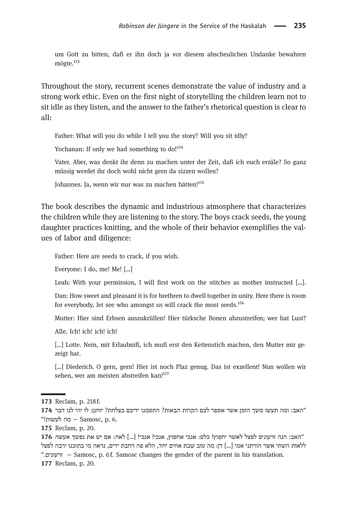um Gott zu bitten, daß er ihn doch ja vor diesem abscheulichen Undanke bewahren mögte.<sup>173</sup>

Throughout the story, recurrent scenes demonstrate the value of industry and a strong work ethic. Even on the first night of storytelling the children learn not to sit idle as they listen, and the answer to the father's rhetorical question is clear to all:

Father: What will you do while I tell you the story? Will you sit idly?

Yochanan: If only we had something to do!<sup>174</sup>

Vater. Aber, was denkt ihr denn zu machen unter der Zeit, daß ich euch erzäle? So ganz müssig werdet ihr doch wohl nicht gern da sizzen wollen?

Johannes. Ja, wenn wir nur was zu machen hätten!<sup>175</sup>

The book describes the dynamic and industrious atmosphere that characterizes the children while they are listening to the story. The boys crack seeds, the young daughter practices knitting, and the whole of their behavior exemplifies the values of labor and diligence:

Father: Here are seeds to crack, if you wish.

Everyone: I do, me! Me! […]

Leah: With your permission, I will first work on the stitches as mother instructed [...].

Dan: How sweet and pleasant it is for brethren to dwell together in unity. Here there is room for everybody, let see who amongst us will crack the most seeds. $^{176}$ 

Mutter: Hier sind Erbsen auszukrüllen! Hier türksche Bonen abzustreifen; wer hat Lust?

Alle. Ich! ich! ich! ich!

[…] Lotte. Nein, mit Erlaubniß, ich muß erst den Kettenstich machen, den Mutter mir gezeigt hat.

[...] Diederich. O gern, gern! Hier ist noch Plaz genug. Das ist exzellent! Nun wollen wir sehen, wer am meisten abstreifen kan!<sup>177</sup>

175 Reclam, p. 20.

"האב: הנה זרעונים לפצל לאשר יחפוץ! כלם: אנכי אחפוץ, אנכי! אנכי! [...] לאה: אם יש את נפשך אעשה 176 ללאות השתי אשר הורתני אמי [...] דן: מה טוב שבת אחים יחד, הלא פה רחבת ידים, נראה מי בתוכנו ירבה לפצל ." םינ וערז − Samosc, p. 6 f. Samosc changes the gender of the parent in his translation. 177 Reclam, p. 20.

<sup>173</sup> Reclam, p. 218 f.

<sup>&</sup>quot;האב: ומה תעשו משך הזמן אשר אספר לכם הקרות הבאות? התטמנו ידיכם בצלחת? יוחנן: לו יהי לנו דבר 174 6. .p ,Samosc − המ על תוש "!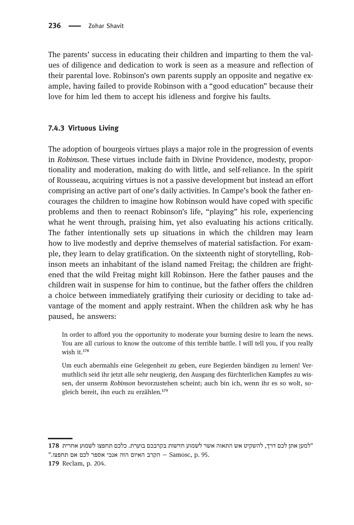The parents' success in educating their children and imparting to them the values of diligence and dedication to work is seen as a measure and reflection of their parental love. Robinson's own parents supply an opposite and negative example, having failed to provide Robinson with a "good education" because their love for him led them to accept his idleness and forgive his faults.

#### 7.4.3 Virtuous Living

The adoption of bourgeois virtues plays a major role in the progression of events in Robinson. These virtues include faith in Divine Providence, modesty, proportionality and moderation, making do with little, and self-reliance. In the spirit of Rousseau, acquiring virtues is not a passive development but instead an effort comprising an active part of one's daily activities. In Campe's book the father encourages the children to imagine how Robinson would have coped with specific problems and then to reenact Robinson's life, "playing" his role, experiencing what he went through, praising him, yet also evaluating his actions critically. The father intentionally sets up situations in which the children may learn how to live modestly and deprive themselves of material satisfaction. For example, they learn to delay gratification. On the sixteenth night of storytelling, Robinson meets an inhabitant of the island named Freitag; the children are frightened that the wild Freitag might kill Robinson. Here the father pauses and the children wait in suspense for him to continue, but the father offers the children a choice between immediately gratifying their curiosity or deciding to take advantage of the moment and apply restraint. When the children ask why he has paused, he answers:

In order to afford you the opportunity to moderate your burning desire to learn the news. You are all curious to know the outcome of this terrible battle. I will tell you, if you really wish it. $178$ 

Um euch abermahls eine Gelegenheit zu geben, eure Begierden bändigen zu lernen! Vermuthlich seid ihr jetzt alle sehr neugierig, den Ausgang des fürchterlichen Kampfes zu wissen, der unserm Robinson bevorzustehen scheint; auch bin ich, wenn ihr es so wolt, sogleich bereit, ihn euch zu erzählen.<sup>179</sup>

<sup>&</sup>quot;למען אתן לכם דרד, להשקיט אש התאוה אשר לשמוע חדשות בקרבכם בוערת. כלכם תחפצו לשמוע אחרית 178

<sup>&</sup>quot;.ש החפצו − Samosc, p. 95. הקרב האיום הזה אנכי אספר לכם אם תחפצו.

<sup>179</sup> Reclam, p. 204.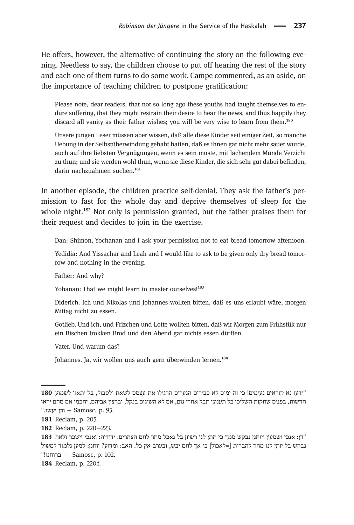He offers, however, the alternative of continuing the story on the following evening. Needless to say, the children choose to put off hearing the rest of the story and each one of them turns to do some work. Campe commented, as an aside, on the importance of teaching children to postpone gratification:

Please note, dear readers, that not so long ago these youths had taught themselves to endure suffering, that they might restrain their desire to hear the news, and thus happily they discard all vanity as their father wishes; you will be very wise to learn from them.<sup>180</sup>

Unsere jungen Leser müssen aber wissen, daß alle diese Kinder seit einiger Zeit, so manche Uebung in der Selbstüberwindung gehabt hatten, daß es ihnen gar nicht mehr sauer wurde, auch auf ihre liebsten Vergnügungen, wenn es sein muste, mit lachendem Munde Verzicht zu thun; und sie werden wohl thun, wenn sie diese Kinder, die sich sehr gut dabei befinden, darin nachzuahmen suchen.<sup>181</sup>

In another episode, the children practice self-denial. They ask the father's permission to fast for the whole day and deprive themselves of sleep for the whole night.<sup>182</sup> Not only is permission granted, but the father praises them for their request and decides to join in the exercise.

Dan: Shimon, Yochanan and I ask your permission not to eat bread tomorrow afternoon.

Yedidia: And Yissachar and Leah and I would like to ask to be given only dry bread tomorrow and nothing in the evening.

Father: And why?

Yohanan: That we might learn to master ourselves!<sup>183</sup>

Diderich. Ich und Nikolas und Johannes wollten bitten, daß es uns erlaubt wäre, morgen Mittag nicht zu essen.

Gotlieb. Und ich, und Frizchen und Lotte wollten bitten, daß wir Morgen zum Frühstük nur ein Bischen trokken Brod und den Abend gar nichts essen dürften.

Vater. Und warum das?

Johannes. Ja, wir wollen uns auch gern überwinden lernen.<sup>184</sup>

184 Reclam, p. 220 f.

<sup>&</sup>quot;ידעו נא קוראים נעימים! כי זה ימים לא כבירים הנערים הרגילו את עצמם לשאת ולסבול, בל יתאוו לשמוע 180 חדשות, בפנים שחקות השליכו כל תענוגי תבל אחרי גום, אם לא השיגום בנקל, וברצון אביהם, יחכמו אם מהם יראו ".וכן יעשו. - Samosc, p. 95.

<sup>181</sup> Reclam, p. 205.

<sup>182</sup> Reclam, p. 220−223.

<sup>&</sup>quot;דן: אנכי ושמעון ויוחנן נבקש ממך כי תתן לנו רשיון בל נאכל מחר לחם הצהרים. ידידיה: ואנכי וישכר ולאה 183 נבקש בל יותן לנו מחר להברות [=לאכול] כי אך לחם יבש, ובערב אין כל. האב: ומדוע? יוחנן: למען נלמוד למשול "102. .p. 102. ברוחנו = Samosc, p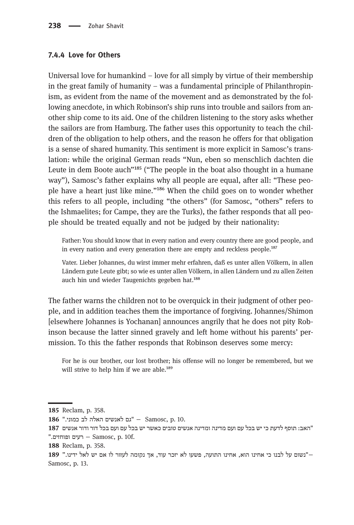#### 7.4.4 Love for Others

Universal love for humankind  $-$  love for all simply by virtue of their membership in the great family of humanity – was a fundamental principle of Philanthropinism, as evident from the name of the movement and as demonstrated by the following anecdote, in which Robinson's ship runs into trouble and sailors from another ship come to its aid. One of the children listening to the story asks whether the sailors are from Hamburg. The father uses this opportunity to teach the children of the obligation to help others, and the reason he offers for that obligation is a sense of shared humanity. This sentiment is more explicit in Samosc's translation: while the original German reads "Nun, eben so menschlich dachten die Leute in dem Boote auch<sup>n185</sup> ("The people in the boat also thought in a humane way"), Samosc's father explains why all people are equal, after all: "These people have a heart just like mine."<sup>186</sup> When the child goes on to wonder whether this refers to all people, including "the others" (for Samosc, "others" refers to the Ishmaelites; for Campe, they are the Turks), the father responds that all people should be treated equally and not be judged by their nationality:

Father: You should know that in every nation and every country there are good people, and in every nation and every generation there are empty and reckless people.<sup>187</sup>

Vater. Lieber Johannes, du wirst immer mehr erfahren, daß es unter allen Völkern, in allen Ländern gute Leute gibt; so wie es unter allen Völkern, in allen Ländern und zu allen Zeiten auch hin und wieder Taugenichts gegeben hat.<sup>188</sup>

The father warns the children not to be overquick in their judgment of other people, and in addition teaches them the importance of forgiving. Johannes/Shimon [elsewhere Johannes is Yochanan] announces angrily that he does not pity Robinson because the latter sinned gravely and left home without his parents' permission. To this the father responds that Robinson deserves some mercy:

For he is our brother, our lost brother; his offense will no longer be remembered, but we will strive to help him if we are able.<sup>189</sup>

<sup>185</sup> Reclam, p. 358.

<sup>186 °</sup>F, בס לאנשים האלה לב כמוני. "<br/> Samosc, p. 10.

<sup>&</sup>quot;האב: תוסף לדעת כי יש בכל עם ועם מדינה ומדינה אנשים טובים כאשר יש בכל עם ועם בכל דור ודור אנשים 187 .". לעים ופוחזים – Samosc, p. 10f.

<sup>188</sup> Reclam, p. 358.

<sup>−</sup> שנשום על לבנו כי אחינו הוא, אחינו התועה, פשעו לא יזכר עוד, אך נקומה לעזור לו אם יש לאל ידינו." 189 Samosc, p. 13.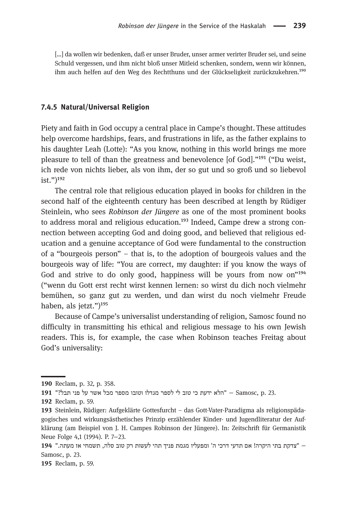[…] da wollen wir bedenken, daß er unser Bruder, unser armer verirter Bruder sei, und seine Schuld vergessen, und ihm nicht bloß unser Mitleid schenken, sondern, wenn wir können, ihm auch helfen auf den Weg des Rechtthuns und der Glückseligkeit zurückzukehren.<sup>190</sup>

#### 7.4.5 Natural/Universal Religion

Piety and faith in God occupy a central place in Campe's thought. These attitudes help overcome hardships, fears, and frustrations in life, as the father explains to his daughter Leah (Lotte): "As you know, nothing in this world brings me more pleasure to tell of than the greatness and benevolence [of God]."<sup>191</sup> ("Du weist, ich rede von nichts lieber, als von ihm, der so gut und so groß und so liebevol  $\text{ist.} ")^{192}$ 

The central role that religious education played in books for children in the second half of the eighteenth century has been described at length by Rüdiger Steinlein, who sees Robinson der Jüngere as one of the most prominent books to address moral and religious education. $^{193}$  Indeed, Campe drew a strong connection between accepting God and doing good, and believed that religious education and a genuine acceptance of God were fundamental to the construction of a "bourgeois person" – that is, to the adoption of bourgeois values and the bourgeois way of life: "You are correct, my daughter: if you know the ways of God and strive to do only good, happiness will be yours from now on<sup>"194</sup> ("wenn du Gott erst recht wirst kennen lernen: so wirst du dich noch vielmehr bemühen, so ganz gut zu werden, und dan wirst du noch vielmehr Freude haben, als jetzt.") $195$ 

Because of Campe's universalist understanding of religion, Samosc found no difficulty in transmitting his ethical and religious message to his own Jewish readers. This is, for example, the case when Robinson teaches Freitag about God's universality:

195 Reclam, p. 59.

<sup>190</sup> Reclam, p. 32, p. 358.

<sup>191 &</sup>quot;הלא ידעת כי טוב לי לספר מגדלו וטובו מספר מכל אשר על פני תבל?" (Samosc, p. 23 - "

<sup>192</sup> Reclam, p. 59.

Steinlein, Rüdiger: Aufgeklärte Gottesfurcht – das Gott-Vater-Paradigma als religionspädagogisches und wirkungsästhetisches Prinzip erzählender Kinder- und Jugendliteratur der Aufklärung (am Beispiel von J. H. Campes Robinson der Jüngere). In: Zeitschrift für Germanistik Neue Folge 4,1 (1994). P. 7−23.

<sup>− &</sup>quot;צדקת בתי היקרה! אם תדעי דרכי ה' ומפעליו מגמת פניך תהי לעשות רק טוב סלה, תשמחי אז מעתה." 194 Samosc, p. 23.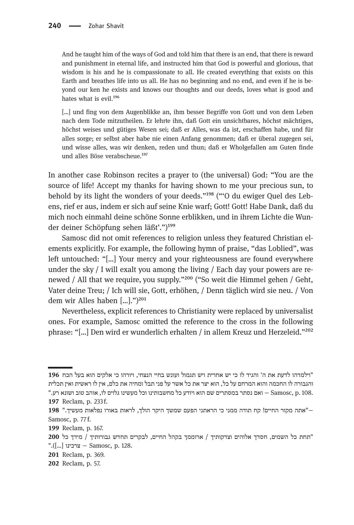And he taught him of the ways of God and told him that there is an end, that there is reward and punishment in eternal life, and instructed him that God is powerful and glorious, that wisdom is his and he is compassionate to all. He created everything that exists on this Earth and breathes life into us all. He has no beginning and no end, and even if he is beyond our ken he exists and knows our thoughts and our deeds, loves what is good and hates what is evil. $196$ 

[…] und fing von dem Augenblikke an, ihm besser Begriffe von Gott und von dem Leben nach dem Tode mitzutheilen. Er lehrte ihn, daß Gott ein unsichtbares, höchst mächtiges, höchst weises und gütiges Wesen sei; daß er Alles, was da ist, erschaffen habe, und für alles sorge; er selbst aber habe nie einen Anfang genommen; daß er überal zugegen sei, und wisse alles, was wir denken, reden und thun; daß er Wholgefallen am Guten finde und alles Böse verabscheue.<sup>197</sup>

In another case Robinson recites a prayer to (the universal) God: "You are the source of life! Accept my thanks for having shown to me your precious sun, to behold by its light the wonders of your deeds."<sup>198</sup> ("O du ewiger Quel des Lebens, rief er aus, indem er sich auf seine Knie warf; Gott! Gott! Habe Dank, daß du mich noch einmahl deine schöne Sonne erblikken, und in ihrem Lichte die Wunder deiner Schöpfung sehen läßt'.") $^{199}$ 

Samosc did not omit references to religion unless they featured Christian elements explicitly. For example, the following hymn of praise, "das Loblied", was left untouched: "[…] Your mercy and your righteousness are found everywhere under the sky  $\ell$  I will exalt you among the living  $\ell$  Each day your powers are renewed / All that we require, you supply."<sup>200</sup> ("So weit die Himmel gehen / Geht, Vater deine Treu; / Ich will sie, Gott, erhöhen, / Denn täglich wird sie neu. / Von dem wir Alles haben  $[...]$ .")<sup>201</sup>

Nevertheless, explicit references to Christianity were replaced by universalist ones. For example, Samosc omitted the reference to the cross in the following phrase: "[...] Den wird er wunderlich erhalten / in allem Kreuz und Herzeleid."<sup>202</sup>

- "תחת כל השמים, חסדך אלוהים וצדקותיך / ארוממך בקהל החיים, לבקרים תחדש גבורותיך / מידך כל 200 ".([...] ברכינו − Samosc, p. 128.
- 201 Reclam, p. 369.
- 202 Reclam, p. 57.

<sup>&</sup>quot;וילמדהו לדעת את ה' והגיד לו כי יש אחרית ויש תגמול ועונש בחיי הנצחי, ויורהו כי אלקים הוא בעל הכח 196 והגבורה לו החכמה והוא המרחם על כל, הוא יצר את כל אשר על פני תבל ומחיה את כלם, אין לו ראשית ואין תכלית .98. Samosc, p. 108 − או נסתר במסתרים שם הוא ויודע כל מחשבותינו וכל מעשינו גלוים לו, אוהב טוב ושונא רע.

<sup>197</sup> Reclam, p. 233 f.

<sup>−&</sup>quot;אתה מקור החיים! קח תודה ממני כי הראתני הפעם שמשך היקר הולך, לראות באורו נפלאות מעשיך." 198 Samosc, p. 77 f.

<sup>199</sup> Reclam, p. 167.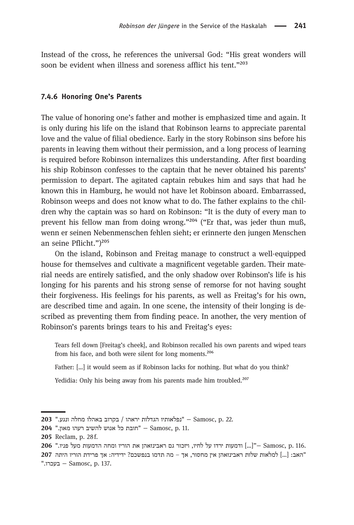Instead of the cross, he references the universal God: "His great wonders will soon be evident when illness and soreness afflict his tent."203

#### 7.4.6 Honoring One's Parents

The value of honoring one's father and mother is emphasized time and again. It is only during his life on the island that Robinson learns to appreciate parental love and the value of filial obedience. Early in the story Robinson sins before his parents in leaving them without their permission, and a long process of learning is required before Robinson internalizes this understanding. After first boarding his ship Robinson confesses to the captain that he never obtained his parents' permission to depart. The agitated captain rebukes him and says that had he known this in Hamburg, he would not have let Robinson aboard. Embarrassed, Robinson weeps and does not know what to do. The father explains to the children why the captain was so hard on Robinson: "It is the duty of every man to prevent his fellow man from doing wrong," $^{204}$  ("Er that, was jeder thun muß, wenn er seinen Nebenmenschen fehlen sieht; er erinnerte den jungen Menschen an seine Pflicht.")<sup>205</sup>

On the island, Robinson and Freitag manage to construct a well-equipped house for themselves and cultivate a magnificent vegetable garden. Their material needs are entirely satisfied, and the only shadow over Robinson's life is his longing for his parents and his strong sense of remorse for not having sought their forgiveness. His feelings for his parents, as well as Freitag's for his own, are described time and again. In one scene, the intensity of their longing is described as preventing them from finding peace. In another, the very mention of Robinson's parents brings tears to his and Freitag's eyes:

Tears fell down [Freitag's cheek], and Robinson recalled his own parents and wiped tears from his face, and both were silent for long moments.<sup>206</sup>

Father: […] it would seem as if Robinson lacks for nothing. But what do you think?

Yedidia: Only his being away from his parents made him troubled.<sup>207</sup>

<sup>203 &</sup>quot; נפלאותיו הגדלות יראהו / בקרוב באהלו מחלה ונגע. " 203

<sup>11.</sup> הובת כל אנוש להשיב רעהו מאון." Samosc, p. 11.

<sup>205</sup> Reclam, p. 28f.

<sup>.</sup>p. 116. .p. 116. […] ודמעות ירדו על לחיו, ויזכור גם ראבינזאהן את הוריו ומחה הדמעות מעל פניו." - Samosc, p.

<sup>&</sup>quot;האב: [...] למלאות שלות ראבינזאהן אין מחסור, אך – מה תדמו בנפשכם? ידידיה: אך פרידת הוריו היתה 207 ". בעכרו – Samosc, p. 137.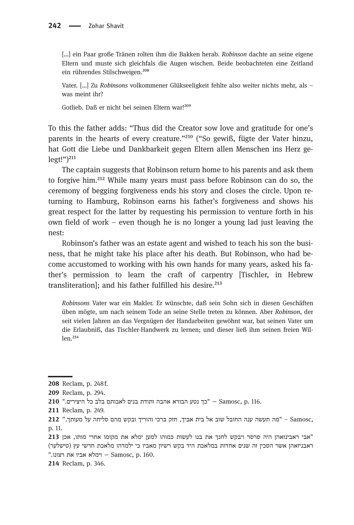[...] ein Paar große Tränen rolten ihm die Bakken herab. Robinson dachte an seine eigene Eltern und muste sich gleichfals die Augen wischen. Beide beobachteten eine Zeitland ein rührendes Stilschweigen.<sup>208</sup>

Vater. […] Zu Robinsons volkommener Glükseeligkeit fehlte also weiter nichts mehr, als – was meint ihr?

Gotlieb. Daß er nicht bei seinen Eltern war!<sup>209</sup>

To this the father adds: "Thus did the Creator sow love and gratitude for one's parents in the hearts of every creature."<sup>210</sup> ("So gewiß, fügte der Vater hinzu, hat Gott die Liebe und Dankbarkeit gegen Eltern allen Menschen ins Herz ge $legt!")^{211}$ 

The captain suggests that Robinson return home to his parents and ask them to forgive him.<sup>212</sup> While many years must pass before Robinson can do so, the ceremony of begging forgiveness ends his story and closes the circle. Upon returning to Hamburg, Robinson earns his father's forgiveness and shows his great respect for the latter by requesting his permission to venture forth in his own field of work – even though he is no longer a young lad just leaving the nest:

Robinson's father was an estate agent and wished to teach his son the business, that he might take his place after his death. But Robinson, who had become accustomed to working with his own hands for many years, asked his father's permission to learn the craft of carpentry [Tischler, in Hebrew transliteration]; and his father fulfilled his desire. $^{213}$ 

Robinsons Vater war ein Makler. Er wünschte, daß sein Sohn sich in diesen Geschäften üben mögte, um nach seinem Tode an seine Stelle treten zu können. Aber Robinson, der seit vielen Jahren an das Vergnügen der Handarbeiten gewöhnt war, bat seinen Vater um die Erlaubniß, das Tischler-Handwerk zu lernen; und dieser ließ ihm seinen freien Wil $len.<sup>214</sup>$ 

<sup>208</sup> Reclam, p. 248 f.

<sup>209</sup> Reclam, p. 294.

<sup>116. .</sup>p. 116. היצירים בלב כל היצירים - Samosc, p. 116

<sup>211</sup> Reclam, p. 249.

<sup>,</sup>Samosc – "מה תעשה ענה החובל שוב אל בית אביך, חזק ברכי והוריך ובקש מהם סליחה על מעותך." 212 p. 11.

<sup>&</sup>quot;אבי ראבינזאהן היה סרסר ויבקש לחנך את בנו לעשות כמוהו למען ימלא את מקומו אחרי מותו, אכן 213 ראבניזאהן אשר הסכין זה שנים אחדות במלאכת היד בקש רשיון מאביו כי ילמדהו מלאכת חרשי עץ (טישלער) ". הימלא אביו את רצונו - Samosc, p. 160.

<sup>214</sup> Reclam, p. 346.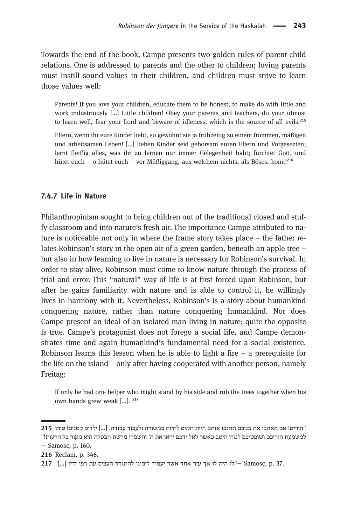Towards the end of the book, Campe presents two golden rules of parent-child relations. One is addressed to parents and the other to children; loving parents must instill sound values in their children, and children must strive to learn those values well:

Parents! If you love your children, educate them to be honest, to make do with little and work industriously […] Little children! Obey your parents and teachers, do your utmost to learn well, fear your Lord and beware of idleness, which is the source of all evils.<sup>215</sup>

Eltern, wenn ihr eure Kinder liebt, so gewöhnt sie ja frühzeitig zu einem frommen, mäßigen und arbeitsamen Leben! […] lieben Kinder seid gehorsam euren Eltern und Vorgesezten; lernt fleißig alles, was ihr zu lernen nur immer Gelegenheit habt; fürchtet Gott, und hütet euch – o hütet euch – vor Müßiggang, aus welchem nichts, als Böses, komt!<sup>216</sup>

#### 7.4.7 Life in Nature

Philanthropinism sought to bring children out of the traditional closed and stuffy classroom and into nature's fresh air. The importance Campe attributed to nature is noticeable not only in where the frame story takes place – the father relates Robinson's story in the open air of a green garden, beneath an apple tree – but also in how learning to live in nature is necessary for Robinson's survival. In order to stay alive, Robinson must come to know nature through the process of trial and error. This "natural" way of life is at first forced upon Robinson, but after he gains familiarity with nature and is able to control it, he willingly lives in harmony with it. Nevertheless, Robinson's is a story about humankind conquering nature, rather than nature conquering humankind. Nor does Campe present an ideal of an isolated man living in nature; quite the opposite is true. Campe's protagonist does not forego a social life, and Campe demonstrates time and again humankind's fundamental need for a social existence. Robinson learns this lesson when he is able to light a fire  $-$  a prerequisite for the life on the island – only after having cooperated with another person, namely Freitag:

If only he had one helper who might stand by his side and rub the trees together when his own hands grew weak  $[\,...]$ . <sup>217</sup>

<sup>&</sup>quot;הורים! אם תאהבו את בניכם תחנכו אותם היות תמים לחיות במשורה ולעבוד עבודה. [...] ילדים קטנים! סורו 215 למשמעת הוריכם ושופטיכם למדו היטב כאשר לאל ידכם יראו את ה' והשמרו מרשת הבטלה היא מקור כל הרעות!" − Samosc, p. 160.

<sup>216</sup> Reclam, p. 346.

<sup>317 &</sup>quot;(....) היה לו אך עזר אחד אשר יעמוד לימינו להתגרד העצים עת רפו ידיו [...] "C17 ו- 217".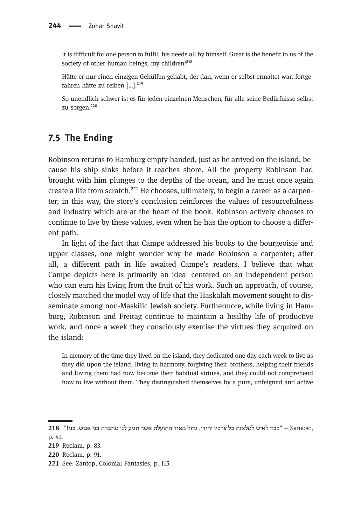It is difficult for one person to fulfill his needs all by himself. Great is the benefit to us of the society of other human beings, my children!<sup>218</sup>

Hätte er nur einen einzigen Gehülfen gehabt, der dan, wenn er selbst ermattet war, fortgefahren hätte zu reiben [...].<sup>219</sup>

So unendlich schwer ist es für jeden einzelnen Menschen, für alle seine Bedürfnisse selbst zu sorgen.<sup>220</sup>

#### 7.5 The Ending

Robinson returns to Hamburg empty-handed, just as he arrived on the island, because his ship sinks before it reaches shore. All the property Robinson had brought with him plunges to the depths of the ocean, and he must once again create a life from scratch. $^{221}$  He chooses, ultimately, to begin a career as a carpenter; in this way, the story's conclusion reinforces the values of resourcefulness and industry which are at the heart of the book. Robinson actively chooses to continue to live by these values, even when he has the option to choose a different path.

In light of the fact that Campe addressed his books to the bourgeoisie and upper classes, one might wonder why he made Robinson a carpenter; after all, a different path in life awaited Campe's readers. I believe that what Campe depicts here is primarily an ideal centered on an independent person who can earn his living from the fruit of his work. Such an approach, of course, closely matched the model way of life that the Haskalah movement sought to disseminate among non-Maskilic Jewish society. Furthermore, while living in Hamburg, Robinson and Freitag continue to maintain a healthy life of productive work, and once a week they consciously exercise the virtues they acquired on the island:

In memory of the time they lived on the island, they dedicated one day each week to live as they did upon the island; living in harmony, forgiving their brothers, helping their friends and loving them had now become their habitual virtues, and they could not comprehend how to live without them. They distinguished themselves by a pure, unfeigned and active

<sup>,</sup>Samosc − "כבד לאיש למלאות כל צרכיו יחידי, גדול מאוד התועלת אשר תגיע לנו מחברת בני אנוש, בני!" 218 p. 41.

<sup>219</sup> Reclam, p. 83.

<sup>220</sup> Reclam, p. 91.

<sup>221</sup> See: Zantop, Colonial Fantasies, p. 115.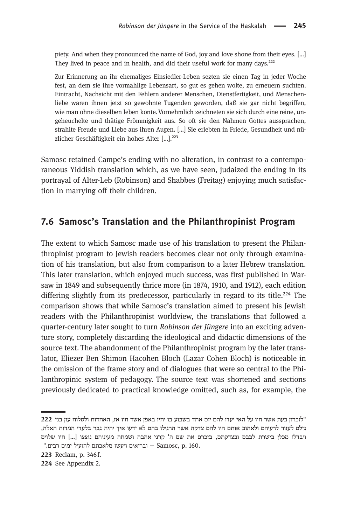piety. And when they pronounced the name of God, joy and love shone from their eyes. […] They lived in peace and in health, and did their useful work for many days.<sup>222</sup>

Zur Erinnerung an ihr ehemaliges Einsiedler-Leben sezten sie einen Tag in jeder Woche fest, an dem sie ihre vormahlige Lebensart, so gut es gehen wolte, zu erneuern suchten. Eintracht, Nachsicht mit den Fehlern anderer Menschen, Dienstfertigkeit, und Menschenliebe waren ihnen jetzt so gewohnte Tugenden geworden, daß sie gar nicht begriffen, wie man ohne dieselben leben konte.Vornehmlich zeichneten sie sich durch eine reine, ungeheuchelte und thätige Frömmigkeit aus. So oft sie den Nahmen Gottes aussprachen, strahlte Freude und Liebe aus ihren Augen. […] Sie erlebten in Friede, Gesundheit und nüzlicher Geschäftigkeit ein hohes Alter [...].<sup>223</sup>

Samosc retained Campe's ending with no alteration, in contrast to a contemporaneous Yiddish translation which, as we have seen, judaized the ending in its portrayal of Alter-Leb (Robinson) and Shabbes (Freitag) enjoying much satisfaction in marrying off their children.

#### 7.6 Samosc's Translation and the Philanthropinist Program

The extent to which Samosc made use of his translation to present the Philanthropinist program to Jewish readers becomes clear not only through examination of his translation, but also from comparison to a later Hebrew translation. This later translation, which enjoyed much success, was first published in Warsaw in 1849 and subsequently thrice more (in 1874, 1910, and 1912), each edition differing slightly from its predecessor, particularly in regard to its title.<sup>224</sup> The comparison shows that while Samosc's translation aimed to present his Jewish readers with the Philanthropinist worldview, the translations that followed a quarter-century later sought to turn Robinson der Jüngere into an exciting adventure story, completely discarding the ideological and didactic dimensions of the source text. The abandonment of the Philanthropinist program by the later translator, Eliezer Ben Shimon Hacohen Bloch (Lazar Cohen Bloch) is noticeable in the omission of the frame story and of dialogues that were so central to the Philanthropinic system of pedagogy. The source text was shortened and sections previously dedicated to practical knowledge omitted, such as, for example, the

<sup>&</sup>quot;לזכרון בעת אשר חיו על האי יעדו להם יום אחד בשבוע בו יחיו באפן אשר חיו אז, האחדות ולסלוח עון בני 222 גילם לעזור לרעיהם ולאהוב אותם היו להם צדקה אשר הרגילו בהם לא ידעו איך יהיה גבר בלעדי המדות האלה, ויבדלו מכלן בישרת לבבם ובצדקתם, בזכרם את שם ה' קרני אהבה ושמחה מעיניהם נוצצו [...] חיו שלוים " בריאים ויעשו מלאכתם להועיל ימים רבים. בעו − Samosc, p. 160.

<sup>223</sup> Reclam, p. 346 f.

<sup>224</sup> See Appendix 2.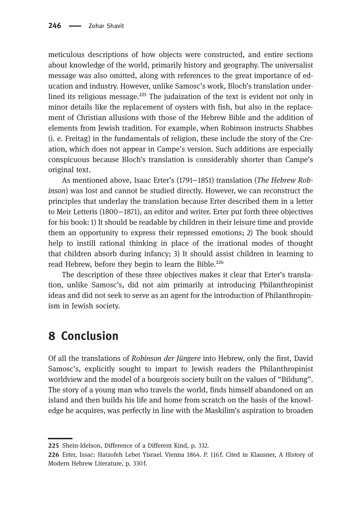meticulous descriptions of how objects were constructed, and entire sections about knowledge of the world, primarily history and geography. The universalist message was also omitted, along with references to the great importance of education and industry. However, unlike Samosc's work, Bloch's translation underlined its religious message. $^{225}$  The judaization of the text is evident not only in minor details like the replacement of oysters with fish, but also in the replacement of Christian allusions with those of the Hebrew Bible and the addition of elements from Jewish tradition. For example, when Robinson instructs Shabbes (i. e. Freitag) in the fundamentals of religion, these include the story of the Creation, which does not appear in Campe's version. Such additions are especially conspicuous because Bloch's translation is considerably shorter than Campe's original text.

As mentioned above, Isaac Erter's (1791−1851) translation (The Hebrew Robinson) was lost and cannot be studied directly. However, we can reconstruct the principles that underlay the translation because Erter described them in a letter to Meir Letteris (1800−1871), an editor and writer. Erter put forth three objectives for his book: 1) It should be readable by children in their leisure time and provide them an opportunity to express their repressed emotions; 2) The book should help to instill rational thinking in place of the irrational modes of thought that children absorb during infancy; 3) It should assist children in learning to read Hebrew, before they begin to learn the Bible.<sup>226</sup>

The description of these three objectives makes it clear that Erter's translation, unlike Samosc's, did not aim primarily at introducing Philanthropinist ideas and did not seek to serve as an agent for the introduction of Philanthropinism in Jewish society.

## 8 Conclusion

Of all the translations of Robinson der Jüngere into Hebrew, only the first, David Samosc's, explicitly sought to impart to Jewish readers the Philanthropinist worldview and the model of a bourgeois society built on the values of "Bildung". The story of a young man who travels the world, finds himself abandoned on an island and then builds his life and home from scratch on the basis of the knowledge he acquires, was perfectly in line with the Maskilim's aspiration to broaden

<sup>225</sup> Shein-Idelson, Difference of a Different Kind, p. 332.

<sup>226</sup> Erter, Issac: Hatzofeh Lebet Yisrael. Vienna 1864. P. 116f. Cited in Klausner, A History of Modern Hebrew Literature, p. 330 f.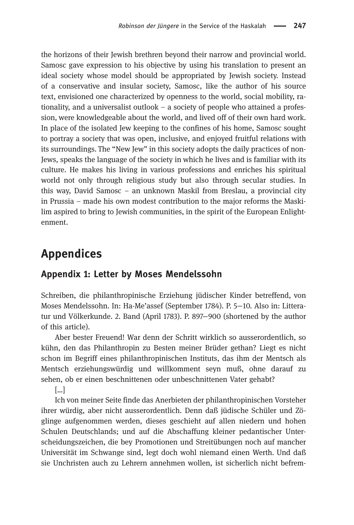the horizons of their Jewish brethren beyond their narrow and provincial world. Samosc gave expression to his objective by using his translation to present an ideal society whose model should be appropriated by Jewish society. Instead of a conservative and insular society, Samosc, like the author of his source text, envisioned one characterized by openness to the world, social mobility, rationality, and a universalist outlook – a society of people who attained a profession, were knowledgeable about the world, and lived off of their own hard work. In place of the isolated Jew keeping to the confines of his home, Samosc sought to portray a society that was open, inclusive, and enjoyed fruitful relations with its surroundings. The "New Jew" in this society adopts the daily practices of non-Jews, speaks the language of the society in which he lives and is familiar with its culture. He makes his living in various professions and enriches his spiritual world not only through religious study but also through secular studies. In this way, David Samosc – an unknown Maskil from Breslau, a provincial city in Prussia – made his own modest contribution to the major reforms the Maskilim aspired to bring to Jewish communities, in the spirit of the European Enlightenment.

## Appendices

#### Appendix 1: Letter by Moses Mendelssohn

Schreiben, die philanthropinische Erziehung jüdischer Kinder betreffend, von Moses Mendelssohn. In: Ha-Me'assef (September 1784). P. 5−10. Also in: Litteratur und Völkerkunde. 2. Band (April 1783). P. 897−900 (shortened by the author of this article).

Aber bester Freuend! War denn der Schritt wirklich so ausserordentlich, so kühn, den das Philanthropin zu Besten meiner Brüder gethan? Liegt es nicht schon im Begriff eines philanthropinischen Instituts, das ihm der Mentsch als Mentsch erziehungswürdig und willkomment seyn muß, ohne darauf zu sehen, ob er einen beschnittenen oder unbeschnittenen Vater gehabt?

[…]

Ich von meiner Seite finde das Anerbieten der philanthropinischen Vorsteher ihrer würdig, aber nicht ausserordentlich. Denn daß jüdische Schüler und Zöglinge aufgenommen werden, dieses geschieht auf allen niedern und hohen Schulen Deutschlands; und auf die Abschaffung kleiner pedantischer Unterscheidungszeichen, die bey Promotionen und Streitübungen noch auf mancher Universität im Schwange sind, legt doch wohl niemand einen Werth. Und daß sie Unchristen auch zu Lehrern annehmen wollen, ist sicherlich nicht befrem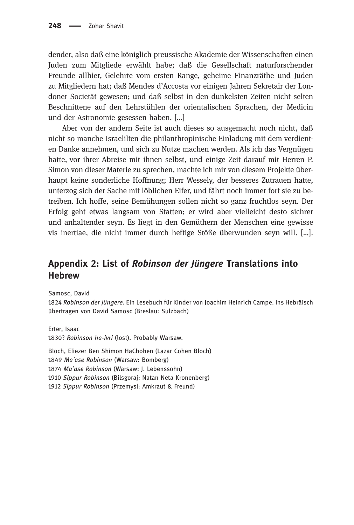dender, also daß eine königlich preussische Akademie der Wissenschaften einen Juden zum Mitgliede erwählt habe; daß die Gesellschaft naturforschender Freunde allhier, Gelehrte vom ersten Range, geheime Finanzräthe und Juden zu Mitgliedern hat; daß Mendes d'Accosta vor einigen Jahren Sekretair der Londoner Societät gewesen; und daß selbst in den dunkelsten Zeiten nicht selten Beschnittene auf den Lehrstühlen der orientalischen Sprachen, der Medicin und der Astronomie gesessen haben. […]

Aber von der andern Seite ist auch dieses so ausgemacht noch nicht, daß nicht so manche Israelilten die philanthropinische Einladung mit dem verdienten Danke annehmen, und sich zu Nutze machen werden. Als ich das Vergnügen hatte, vor ihrer Abreise mit ihnen selbst, und einige Zeit darauf mit Herren P. Simon von dieser Materie zu sprechen, machte ich mir von diesem Projekte überhaupt keine sonderliche Hoffnung; Herr Wessely, der besseres Zutrauen hatte, unterzog sich der Sache mit löblichen Eifer, und fährt noch immer fort sie zu betreiben. Ich hoffe, seine Bemühungen sollen nicht so ganz fruchtlos seyn. Der Erfolg geht etwas langsam von Statten; er wird aber vielleicht desto sichrer und anhaltender seyn. Es liegt in den Gemüthern der Menschen eine gewisse vis inertiae, die nicht immer durch heftige Stöße überwunden seyn will. […].

#### Appendix 2: List of Robinson der Jüngere Translations into Hebrew

Samosc, David

1824 Robinson der Jüngere. Ein Lesebuch für Kinder von Joachim Heinrich Campe. Ins Hebräisch übertragen von David Samosc (Breslau: Sulzbach)

Erter, Isaac 1830? Robinson ha-ivri (lost). Probably Warsaw.

Bloch, Eliezer Ben Shimon HaChohen (Lazar Cohen Bloch) Ma'ase Robinson (Warsaw: Bomberg) Ma'ase Robinson (Warsaw: J. Lebenssohn) Sippur Robinson (Bilsgoraj: Natan Neta Kronenberg) Sippur Robinson (Przemysl: Amkraut & Freund)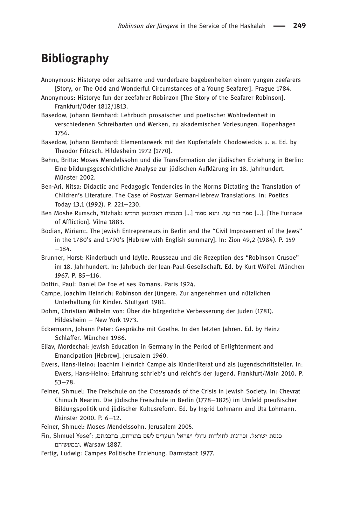## Bibliography

- Anonymous: Historye oder zeltsame und vunderbare bagebenheiten einem yungen zeefarers [Story, or The Odd and Wonderful Circumstances of a Young Seafarer]. Prague 1784.
- Anonymous: Historye fun der zeefahrer Robinzon [The Story of the Seafarer Robinson]. Frankfurt/Oder 1812/1813.
- Basedow, Johann Bernhard: Lehrbuch prosaischer und poetischer Wohlredenheit in verschiedenen Schreibarten und Werken, zu akademischen Vorlesungen. Kopenhagen 1756.
- Basedow, Johann Bernhard: Elementarwerk mit den Kupfertafeln Chodowieckis u. a. Ed. by Theodor Fritzsch. Hildesheim 1972 [1770].
- Behm, Britta: Moses Mendelssohn und die Transformation der jüdischen Erziehung in Berlin: Eine bildungsgeschichtliche Analyse zur jüdischen Aufklärung im 18. Jahrhundert. Münster 2002.
- Ben-Ari, Nitsa: Didactic and Pedagogic Tendencies in the Norms Dictating the Translation of Children's Literature. The Case of Postwar German-Hebrew Translations. In: Poetics Today 13,1 (1992). P. 221−230.
- Furnace I...] ספר כור עני. והוא ספור [...] בתבנית ראבינזאן החדש [...] The Furnace ו- Gen Moshe Rumsch, Yitzhak of Affliction]. Vilna 1883.
- Bodian, Miriam:. The Jewish Entrepreneurs in Berlin and the "Civil Improvement of the Jews" in the 1780's and 1790's [Hebrew with English summary]. In: Zion 49,2 (1984). P. 159 −184.
- Brunner, Horst: Kinderbuch und Idylle. Rousseau und die Rezeption des "Robinson Crusoe" im 18. Jahrhundert. In: Jahrbuch der Jean-Paul-Gesellschaft. Ed. by Kurt Wölfel. München 1967. P. 85−116.
- Dottin, Paul: Daniel De Foe et ses Romans. Paris 1924.
- Campe, Joachim Heinrich: Robinson der Jüngere. Zur angenehmen und nützlichen Unterhaltung für Kinder. Stuttgart 1981.
- Dohm, Christian Wilhelm von: Über die bürgerliche Verbesserung der Juden (1781). Hildesheim – New York 1973.
- Eckermann, Johann Peter: Gespräche mit Goethe. In den letzten Jahren. Ed. by Heinz Schlaffer. München 1986.
- Eliav, Mordechai: Jewish Education in Germany in the Period of Enlightenment and Emancipation [Hebrew]. Jerusalem 1960.
- Ewers, Hans-Heino: Joachim Heinrich Campe als Kinderliterat und als Jugendschriftsteller. In: Ewers, Hans-Heino: Erfahrung schrieb's und reicht's der Jugend. Frankfurt/Main 2010. P. 53−78.
- Feiner, Shmuel: The Freischule on the Crossroads of the Crisis in Jewish Society. In: Chevrat Chinuch Nearim. Die jüdische Freischule in Berlin (1778−1825) im Umfeld preußischer Bildungspolitik und jüdischer Kultusreform. Ed. by Ingrid Lohmann and Uta Lohmann. Münster 2000. P. 6−12.
- Feiner, Shmuel: Moses Mendelssohn. Jerusalem 2005.
- כנסת ישראל. זכרונות לתולדות גדולי ישראל הנועדים לשם בתורתם, בחכמתם, :Fin, Shmuel Yosef ובמעשיהם. Warsaw 1887.
- Fertig, Ludwig: Campes Politische Erziehung. Darmstadt 1977.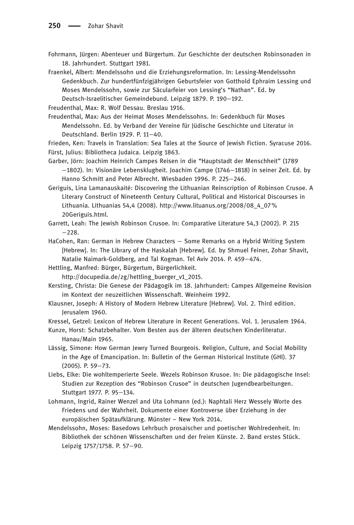Fohrmann, Jürgen: Abenteuer und Bürgertum. Zur Geschichte der deutschen Robinsonaden in 18. Jahrhundert. Stuttgart 1981.

Fraenkel, Albert: Mendelssohn und die Erziehungsreformation. In: Lessing-Mendelssohn Gedenkbuch. Zur hundertfünfzigjährigen Geburtsfeier von Gotthold Ephraim Lessing und Moses Mendelssohn, sowie zur Säcularfeier von Lessing's "Nathan". Ed. by Deutsch-Israelitischer Gemeindebund. Leipzig 1879. P. 190−192.

Freudenthal, Max: R. Wolf Dessau. Breslau 1916.

Freudenthal, Max: Aus der Heimat Moses Mendelssohns. In: Gedenkbuch für Moses Mendelssohn. Ed. by Verband der Vereine für Jüdische Geschichte und Literatur in Deutschland. Berlin 1929. P. 11−40.

Frieden, Ken: Travels in Translation: Sea Tales at the Source of Jewish Fiction. Syracuse 2016. Fürst, Julius: Bibliotheca Judaica. Leipzig 1863.

- Garber, Jörn: Joachim Heinrich Campes Reisen in die "Hauptstadt der Menschheit" (1789 −1802). In: Visionäre Lebensklugheit. Joachim Campe (1746−1818) in seiner Zeit. Ed. by Hanno Schmitt and Peter Albrecht. Wiesbaden 1996. P. 225−246.
- Geriguis, Lina Lamanauskaitė: Discovering the Lithuanian Reinscription of Robinson Crusoe. A Literary Construct of Nineteenth Century Cultural, Political and Historical Discourses in Lithuania. Lithuanias 54,4 (2008). http://www.lituanus.org/2008/08\_4\_07% 20Geriguis.html.
- Garrett, Leah: The Jewish Robinson Crusoe. In: Comparative Literature 54,3 (2002). P. 215 −228.
- HaCohen, Ran: German in Hebrew Characters Some Remarks on a Hybrid Writing System [Hebrew]. In: The Library of the Haskalah [Hebrew]. Ed. by Shmuel Feiner, Zohar Shavit, Natalie Naimark-Goldberg, and Tal Kogman. Tel Aviv 2014. P. 459−474.
- Hettling, Manfred: Bürger, Bürgertum, Bürgerlichkeit.

http://docupedia.de/zg/hettling\_buerger\_v1\_2015.

- Kersting, Christa: Die Genese der Pädagogik im 18. Jahrhundert: Campes Allgemeine Revision im Kontext der neuzeitlichen Wissenschaft. Weinheim 1992.
- Klausner, Joseph: A History of Modern Hebrew Literature [Hebrew]. Vol. 2. Third edition. Jerusalem 1960.

Kressel, Getzel: Lexicon of Hebrew Literature in Recent Generations. Vol. 1. Jerusalem 1964.

Kunze, Horst: Schatzbehalter. Vom Besten aus der älteren deutschen Kinderliteratur. Hanau/Main 1965.

- Lässig, Simone: How German Jewry Turned Bourgeois. Religion, Culture, and Social Mobility in the Age of Emancipation. In: Bulletin of the German Historical Institute (GHI). 37 (2005). P. 59−73.
- Liebs, Elke: Die wohltemperierte Seele. Wezels Robinson Krusoe. In: Die pädagogische Insel: Studien zur Rezeption des "Robinson Crusoe" in deutschen Jugendbearbeitungen. Stuttgart 1977. P. 95−134.
- Lohmann, Ingrid, Rainer Wenzel and Uta Lohmann (ed.): Naphtali Herz Wessely Worte des Friedens und der Wahrheit. Dokumente einer Kontroverse über Erziehung in der europäischen Spätaufklärung. Münster – New York 2014.
- Mendelssohn, Moses: Basedows Lehrbuch prosaischer und poetischer Wohlredenheit. In: Bibliothek der schönen Wissenschaften und der freien Künste. 2. Band erstes Stück. Leipzig 1757/1758. P. 57−90.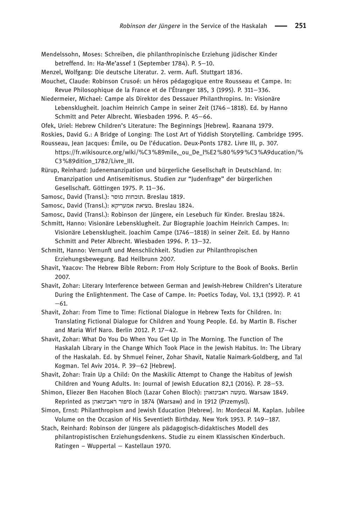Mendelssohn, Moses: Schreiben, die philanthropinische Erziehung jüdischer Kinder betreffend. In: Ha-Me'assef 1 (September 1784). P. 5−10.

Menzel, Wolfgang: Die deutsche Literatur. 2. verm. Aufl. Stuttgart 1836.

Mouchet, Claude: Robinson Crusoé: un héros pédagogique entre Rousseau et Campe. In: Revue Philosophique de la France et de l'Étranger 185, 3 (1995). P. 311−336.

Niedermeier, Michael: Campe als Direktor des Dessauer Philanthropins. In: Visionäre Lebensklugheit. Joachim Heinrich Campe in seiner Zeit (1746–1818). Ed. by Hanno Schmitt and Peter Albrecht. Wiesbaden 1996. P. 45−66.

Ofek, Uriel: Hebrew Children's Literature: The Beginnings [Hebrew]. Raanana 1979.

Roskies, David G.: A Bridge of Longing: The Lost Art of Yiddish Storytelling. Cambridge 1995. Rousseau, Jean Jacques: Émile, ou De l'éducation. Deux-Ponts 1782. Livre III, p. 307.

https://fr.wikisource.org/wiki/%C3%89mile,\_ou\_De\_l%E2%80%99%C3%A9ducation/% C3%89dition\_1782/Livre\_III.

Rürup, Reinhard: Judenemanzipation und bürgerliche Gesellschaft in Deutschland. In: Emanzipation und Antisemitismus. Studien zur "Judenfrage" der bürgerlichen Gesellschaft. Göttingen 1975. P. 11−36.

Samosc, David (Transl.): תוכחות מוסר. Breslau 1819.

Samosc, David (Transl.): מציאת אמעריקא. Breslau 1824.

Samosc, David (Transl.): Robinson der Jüngere, ein Lesebuch für Kinder. Breslau 1824.

Schmitt, Hanno: Visionäre Lebensklugheit. Zur Biographie Joachim Heinrich Campes. In: Visionäre Lebensklugheit. Joachim Campe (1746−1818) in seiner Zeit. Ed. by Hanno Schmitt and Peter Albrecht. Wiesbaden 1996. P. 13−32.

Schmitt, Hanno: Vernunft und Menschlichkeit. Studien zur Philanthropischen Erziehungsbewegung. Bad Heilbrunn 2007.

Shavit, Yaacov: The Hebrew Bible Reborn: From Holy Scripture to the Book of Books. Berlin 2007.

Shavit, Zohar: Literary Interference between German and Jewish-Hebrew Children's Literature During the Enlightenment. The Case of Campe. In: Poetics Today, Vol. 13,1 (1992). P. 41 −61.

Shavit, Zohar: From Time to Time: Fictional Dialogue in Hebrew Texts for Children. In: Translating Fictional Dialogue for Children and Young People. Ed. by Martin B. Fischer and Maria Wirf Naro. Berlin 2012. P. 17−42.

Shavit, Zohar: What Do You Do When You Get Up in The Morning. The Function of The Haskalah Library in the Change Which Took Place in the Jewish Habitus. In: The Library of the Haskalah. Ed. by Shmuel Feiner, Zohar Shavit, Natalie Naimark-Goldberg, and Tal Kogman. Tel Aviv 2014. P. 39−62 [Hebrew].

Shavit, Zohar: Train Up a Child: On the Maskilic Attempt to Change the Habitus of Jewish Children and Young Adults. In: Journal of Jewish Education 82,1 (2016). P. 28−53.

Shimon, Eliezer Ben Hacohen Bloch (Lazar Cohen Bloch): ןהא זנ יב אר הש עמ . Warsaw 1849. Reprinted as סיפור ראבינזאהן in 1874 (Warsaw) and in 1912 (Przemysl).

Simon, Ernst: Philanthropism and Jewish Education [Hebrew]. In: Mordecai M. Kaplan. Jubilee Volume on the Occasion of His Seventieth Birthday. New York 1953. P. 149−187.

Stach, Reinhard: Robinson der Jüngere als pädagogisch-didaktisches Modell des philantropistischen Erziehungsdenkens. Studie zu einem Klassischen Kinderbuch. Ratingen – Wuppertal – Kastellaun 1970.